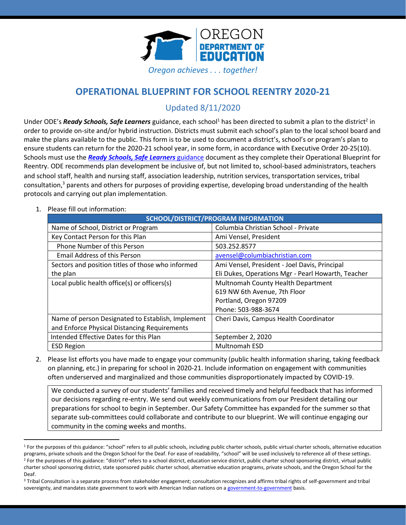

# **OPERATIONAL BLUEPRINT FOR SCHOOL REENTRY 2020-21**

# Updated 8/11/2020

Under ODE's *Ready Schools, Safe Learners* guidance, each school<sup>1</sup> has been directed to submit a plan to the district<sup>2</sup> in order to provide on-site and/or hybrid instruction. Districts must submit each school's plan to the local school board and make the plans available to the public. This form is to be used to document a district's, school's or program's plan to ensure students can return for the 2020-21 school year, in some form, in accordance with Executive Order 20-25(10). Schools must use the *[Ready Schools, Safe Learners](https://www.oregon.gov/ode/students-and-family/healthsafety/Documents/Ready%20Schools%20Safe%20Learners%202020-21%20Guidance.pdf)* guidance document as they complete their Operational Blueprint for Reentry. ODE recommends plan development be inclusive of, but not limited to, school-based administrators, teachers and school staff, health and nursing staff, association leadership, nutrition services, transportation services, tribal consultation, <sup>3</sup> parents and others for purposes of providing expertise, developing broad understanding of the health protocols and carrying out plan implementation.

1. Please fill out information:

| <b>SCHOOL/DISTRICT/PROGRAM INFORMATION</b>        |                                                    |  |
|---------------------------------------------------|----------------------------------------------------|--|
| Name of School, District or Program               | Columbia Christian School - Private                |  |
| Key Contact Person for this Plan                  | Ami Vensel, President                              |  |
| <b>Phone Number of this Person</b>                | 503.252.8577                                       |  |
| <b>Email Address of this Person</b>               | avensel@columbiachristian.com                      |  |
| Sectors and position titles of those who informed | Ami Vensel, President - Joel Davis, Principal      |  |
| the plan                                          | Eli Dukes, Operations Mgr - Pearl Howarth, Teacher |  |
| Local public health office(s) or officers(s)      | Multnomah County Health Department                 |  |
|                                                   | 619 NW 6th Avenue, 7th Floor                       |  |
|                                                   | Portland, Oregon 97209                             |  |
|                                                   | Phone: 503-988-3674                                |  |
| Name of person Designated to Establish, Implement | Cheri Davis, Campus Health Coordinator             |  |
| and Enforce Physical Distancing Requirements      |                                                    |  |
| Intended Effective Dates for this Plan            | September 2, 2020                                  |  |
| <b>ESD Region</b>                                 | <b>Multnomah ESD</b>                               |  |

2. Please list efforts you have made to engage your community (public health information sharing, taking feedback on planning, etc.) in preparing for school in 2020-21. Include information on engagement with communities often underserved and marginalized and those communities disproportionately impacted by COVID-19.

We conducted a survey of our students' families and received timely and helpful feedback that has informed our decisions regarding re-entry. We send out weekly communications from our President detailing our preparations for school to begin in September. Our Safety Committee has expanded for the summer so that separate sub-committees could collaborate and contribute to our blueprint. We will continue engaging our community in the coming weeks and months.

<sup>&</sup>lt;sup>1</sup> For the purposes of this guidance: "school" refers to all public schools, including public charter schools, public virtual charter schools, alternative education programs, private schools and the Oregon School for the Deaf. For ease of readability, "school" will be used inclusively to reference all of these settings. <sup>2</sup> For the purposes of this guidance: "district" refers to a school district, education service district, public charter school sponsoring district, virtual public charter school sponsoring district, state sponsored public charter school, alternative education programs, private schools, and the Oregon School for the Deaf.

<sup>&</sup>lt;sup>3</sup> Tribal Consultation is a separate process from stakeholder engagement; consultation recognizes and affirms tribal rights of self-government and tribal sovereignty, and mandates state government to work with American Indian nations on [a government-to-government](http://www.nrc4tribes.org/files/Tab%209_9H%20Oregon%20SB770.pdf) basis.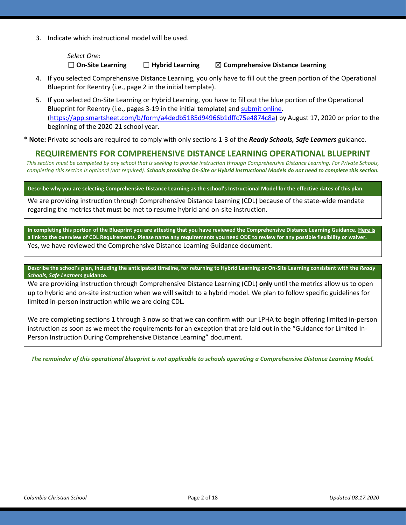3. Indicate which instructional model will be used.

*Select One:*

☐ **On-Site Learning** ☐ **Hybrid Learning** ☒ **Comprehensive Distance Learning**

- 4. If you selected Comprehensive Distance Learning, you only have to fill out the green portion of the Operational Blueprint for Reentry (i.e., page 2 in the initial template).
- 5. If you selected On-Site Learning or Hybrid Learning, you have to fill out the blue portion of the Operational Blueprint for Reentry (i.e., pages 3-19 in the initial template) an[d submit](https://app.smartsheet.com/b/form/a4dedb5185d94966b1dffc75e4874c8a) online. [\(https://app.smartsheet.com/b/form/a4dedb5185d94966b1dffc75e4874c8a\)](https://app.smartsheet.com/b/form/a4dedb5185d94966b1dffc75e4874c8a) by August 17, 2020 or prior to the beginning of the 2020-21 school year.

\* **Note:** Private schools are required to comply with only sections 1-3 of the *Ready Schools, Safe Learners* guidance.

## **REQUIREMENTS FOR COMPREHENSIVE DISTANCE LEARNING OPERATIONAL BLUEPRINT**

*This section must be completed by any school that is seeking to provide instruction through Comprehensive Distance Learning. For Private Schools, completing this section is optional (not required). Schools providing On-Site or Hybrid Instructional Models do not need to complete this section.*

**Describe why you are selecting Comprehensive Distance Learning as the school's Instructional Model for the effective dates of this plan.**

We are providing instruction through Comprehensive Distance Learning (CDL) because of the state-wide mandate regarding the metrics that must be met to resume hybrid and on-site instruction.

**In completing this portion of the Blueprint you are attesting that you have reviewed the Comprehensive Distance Learning Guidance. [Here is](https://www.oregon.gov/ode/students-and-family/healthsafety/Documents/Comprehensive%20Distance%20Learning%20Requirements%20Review.pdf)  [a link to the overview of CDL Requirements.](https://www.oregon.gov/ode/students-and-family/healthsafety/Documents/Comprehensive%20Distance%20Learning%20Requirements%20Review.pdf) Please name any requirements you need ODE to review for any possible flexibility or waiver.**  Yes, we have reviewed the Comprehensive Distance Learning Guidance document.

**Describe the school's plan, including the anticipated timeline, for returning to Hybrid Learning or On-Site Learning consistent with the** *Ready Schools, Safe Learners* **guidance.**

We are providing instruction through Comprehensive Distance Learning (CDL) **only** until the metrics allow us to open up to hybrid and on-site instruction when we will switch to a hybrid model. We plan to follow specific guidelines for limited in-person instruction while we are doing CDL.

We are completing sections 1 through 3 now so that we can confirm with our LPHA to begin offering limited in-person instruction as soon as we meet the requirements for an exception that are laid out in the "Guidance for Limited In-Person Instruction During Comprehensive Distance Learning" document.

*The remainder of this operational blueprint is not applicable to schools operating a Comprehensive Distance Learning Model.*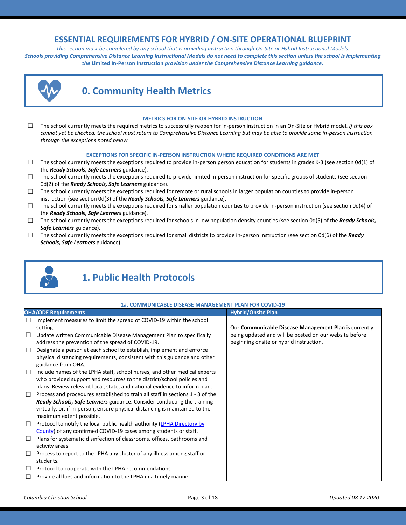# **ESSENTIAL REQUIREMENTS FOR HYBRID / ON-SITE OPERATIONAL BLUEPRINT**

*This section must be completed by any school that is providing instruction through On-Site or Hybrid Instructional Models. Schools providing Comprehensive Distance Learning Instructional Models do not need to complete this section unless the school is implementing the* **Limited In-Person Instruction** *provision under the Comprehensive Distance Learning guidance.*



# **0. Community Health Metrics**

#### **METRICS FOR ON-SITE OR HYBRID INSTRUCTION**

☐ The school currently meets the required metrics to successfully reopen for in-person instruction in an On-Site or Hybrid model. *If this box cannot yet be checked, the school must return to Comprehensive Distance Learning but may be able to provide some in-person instruction through the exceptions noted below.*

#### **EXCEPTIONS FOR SPECIFIC IN-PERSON INSTRUCTION WHERE REQUIRED CONDITIONS ARE MET**

- $\Box$  The school currently meets the exceptions required to provide in-person person education for students in grades K-3 (see section 0d(1) of the *Ready Schools, Safe Learners* guidance).
- $\Box$  The school currently meets the exceptions required to provide limited in-person instruction for specific groups of students (see section 0d(2) of the *Ready Schools, Safe Learners* guidance).
- $\Box$  The school currently meets the exceptions required for remote or rural schools in larger population counties to provide in-person instruction (see section 0d(3) of the *Ready Schools, Safe Learners* guidance).
- $\Box$  The school currently meets the exceptions required for smaller population counties to provide in-person instruction (see section 0d(4) of the *Ready Schools, Safe Learners* guidance).
- ☐ The school currently meets the exceptions required for schools in low population density counties (see section 0d(5) of the *Ready Schools, Safe Learners* guidance).
- ☐ The school currently meets the exceptions required for small districts to provide in-person instruction (see section 0d(6) of the *Ready Schools, Safe Learners* guidance).



# **1. Public Health Protocols**

#### **1a. COMMUNICABLE DISEASE MANAGEMENT PLAN FOR COVID-19**

|        | <b>OHA/ODE Requirements</b>                                                                                                                         | <b>Hybrid/Onsite Plan</b>                              |
|--------|-----------------------------------------------------------------------------------------------------------------------------------------------------|--------------------------------------------------------|
| $\Box$ | Implement measures to limit the spread of COVID-19 within the school                                                                                |                                                        |
|        | setting.                                                                                                                                            | Our Communicable Disease Management Plan is currently  |
| $\Box$ | Update written Communicable Disease Management Plan to specifically                                                                                 | being updated and will be posted on our website before |
|        | address the prevention of the spread of COVID-19.                                                                                                   | beginning onsite or hybrid instruction.                |
| $\Box$ | Designate a person at each school to establish, implement and enforce                                                                               |                                                        |
|        | physical distancing requirements, consistent with this guidance and other<br>guidance from OHA.                                                     |                                                        |
| $\Box$ | Include names of the LPHA staff, school nurses, and other medical experts<br>who provided support and resources to the district/school policies and |                                                        |
|        | plans. Review relevant local, state, and national evidence to inform plan.                                                                          |                                                        |
| $\Box$ | Process and procedures established to train all staff in sections 1 - 3 of the                                                                      |                                                        |
|        | <b>Ready Schools, Safe Learners</b> guidance. Consider conducting the training                                                                      |                                                        |
|        | virtually, or, if in-person, ensure physical distancing is maintained to the                                                                        |                                                        |
|        | maximum extent possible.                                                                                                                            |                                                        |
| $\Box$ | Protocol to notify the local public health authority (LPHA Directory by                                                                             |                                                        |
|        | County) of any confirmed COVID-19 cases among students or staff.                                                                                    |                                                        |
| $\Box$ | Plans for systematic disinfection of classrooms, offices, bathrooms and                                                                             |                                                        |
|        | activity areas.                                                                                                                                     |                                                        |
| $\Box$ | Process to report to the LPHA any cluster of any illness among staff or<br>students.                                                                |                                                        |
| $\Box$ | Protocol to cooperate with the LPHA recommendations.                                                                                                |                                                        |
| $\Box$ | Provide all logs and information to the LPHA in a timely manner.                                                                                    |                                                        |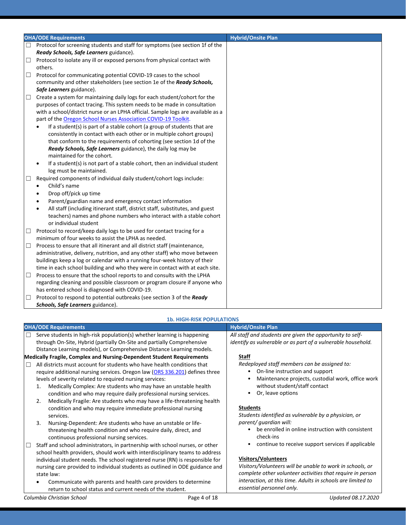|        | <b>OHA/ODE Requirements</b>                                                                                                                                                                                                                 | <b>Hybrid/Onsite Plan</b> |
|--------|---------------------------------------------------------------------------------------------------------------------------------------------------------------------------------------------------------------------------------------------|---------------------------|
| $\Box$ | Protocol for screening students and staff for symptoms (see section 1f of the<br>Ready Schools, Safe Learners guidance).                                                                                                                    |                           |
| $\Box$ | Protocol to isolate any ill or exposed persons from physical contact with                                                                                                                                                                   |                           |
|        | others.                                                                                                                                                                                                                                     |                           |
| $\Box$ | Protocol for communicating potential COVID-19 cases to the school                                                                                                                                                                           |                           |
|        | community and other stakeholders (see section 1e of the Ready Schools,                                                                                                                                                                      |                           |
|        | Safe Learners guidance).                                                                                                                                                                                                                    |                           |
| $\Box$ | Create a system for maintaining daily logs for each student/cohort for the                                                                                                                                                                  |                           |
|        | purposes of contact tracing. This system needs to be made in consultation                                                                                                                                                                   |                           |
|        | with a school/district nurse or an LPHA official. Sample logs are available as a                                                                                                                                                            |                           |
|        | part of the Oregon School Nurses Association COVID-19 Toolkit.                                                                                                                                                                              |                           |
|        | If a student(s) is part of a stable cohort (a group of students that are                                                                                                                                                                    |                           |
|        | consistently in contact with each other or in multiple cohort groups)                                                                                                                                                                       |                           |
|        | that conform to the requirements of cohorting (see section 1d of the                                                                                                                                                                        |                           |
|        | Ready Schools, Safe Learners guidance), the daily log may be                                                                                                                                                                                |                           |
|        | maintained for the cohort.                                                                                                                                                                                                                  |                           |
|        | If a student(s) is not part of a stable cohort, then an individual student                                                                                                                                                                  |                           |
|        | log must be maintained.                                                                                                                                                                                                                     |                           |
| □      | Required components of individual daily student/cohort logs include:                                                                                                                                                                        |                           |
|        | Child's name<br>$\bullet$                                                                                                                                                                                                                   |                           |
|        | Drop off/pick up time                                                                                                                                                                                                                       |                           |
|        | Parent/guardian name and emergency contact information                                                                                                                                                                                      |                           |
|        | All staff (including itinerant staff, district staff, substitutes, and guest                                                                                                                                                                |                           |
|        | teachers) names and phone numbers who interact with a stable cohort                                                                                                                                                                         |                           |
|        | or individual student                                                                                                                                                                                                                       |                           |
| ⊔      | Protocol to record/keep daily logs to be used for contact tracing for a                                                                                                                                                                     |                           |
|        | minimum of four weeks to assist the LPHA as needed.                                                                                                                                                                                         |                           |
| $\Box$ | Process to ensure that all itinerant and all district staff (maintenance,                                                                                                                                                                   |                           |
|        | administrative, delivery, nutrition, and any other staff) who move between                                                                                                                                                                  |                           |
|        | buildings keep a log or calendar with a running four-week history of their                                                                                                                                                                  |                           |
|        | time in each school building and who they were in contact with at each site.                                                                                                                                                                |                           |
| $\Box$ | Process to ensure that the school reports to and consults with the LPHA                                                                                                                                                                     |                           |
|        |                                                                                                                                                                                                                                             |                           |
|        |                                                                                                                                                                                                                                             |                           |
|        |                                                                                                                                                                                                                                             |                           |
| $\Box$ | regarding cleaning and possible classroom or program closure if anyone who<br>has entered school is diagnosed with COVID-19.<br>Protocol to respond to potential outbreaks (see section 3 of the Ready<br>Schools, Safe Learners guidance). |                           |

#### **1b. HIGH-RISK POPULATIONS**

| <b>1b. HIGH-RISK POPULATIONS</b>                                                                                                                                                                                                                                                                                                                                                                                                                                                                                                     |              |                                                                                                                                                                                                                                                   |  |
|--------------------------------------------------------------------------------------------------------------------------------------------------------------------------------------------------------------------------------------------------------------------------------------------------------------------------------------------------------------------------------------------------------------------------------------------------------------------------------------------------------------------------------------|--------------|---------------------------------------------------------------------------------------------------------------------------------------------------------------------------------------------------------------------------------------------------|--|
| <b>OHA/ODE Requirements</b>                                                                                                                                                                                                                                                                                                                                                                                                                                                                                                          |              | <b>Hybrid/Onsite Plan</b>                                                                                                                                                                                                                         |  |
| Serve students in high-risk population(s) whether learning is happening<br>$\Box$<br>through On-Site, Hybrid (partially On-Site and partially Comprehensive<br>Distance Learning models), or Comprehensive Distance Learning models.                                                                                                                                                                                                                                                                                                 |              | All staff and students are given the opportunity to self-<br>identify as vulnerable or as part of a vulnerable household.                                                                                                                         |  |
| Medically Fragile, Complex and Nursing-Dependent Student Requirements<br>All districts must account for students who have health conditions that<br>$\Box$<br>require additional nursing services. Oregon law (ORS 336.201) defines three<br>levels of severity related to required nursing services:<br>Medically Complex: Are students who may have an unstable health<br>1.<br>condition and who may require daily professional nursing services.<br>Medically Fragile: Are students who may have a life-threatening health<br>2. |              | <b>Staff</b><br>Redeployed staff members can be assigned to:<br>On-line instruction and support<br>Maintenance projects, custodial work, office work<br>without student/staff contact<br>Or, leave options                                        |  |
| condition and who may require immediate professional nursing<br>services.<br>Nursing-Dependent: Are students who have an unstable or life-<br>3.<br>threatening health condition and who require daily, direct, and<br>continuous professional nursing services.<br>Staff and school administrators, in partnership with school nurses, or other<br>$\Box$<br>school health providers, should work with interdisciplinary teams to address                                                                                           |              | <b>Students</b><br>Students identified as vulnerable by a physician, or<br>parent/ quardian will:<br>be enrolled in online instruction with consistent<br>check-ins<br>continue to receive support services if applicable                         |  |
| individual student needs. The school registered nurse (RN) is responsible for<br>nursing care provided to individual students as outlined in ODE guidance and<br>state law:<br>Communicate with parents and health care providers to determine<br>return to school status and current needs of the student.                                                                                                                                                                                                                          |              | <b>Visitors/Volunteers</b><br>Visitors/Volunteers will be unable to work in schools, or<br>complete other volunteer activities that require in person<br>interaction, at this time. Adults in schools are limited to<br>essential personnel only. |  |
| Columbia Christian School                                                                                                                                                                                                                                                                                                                                                                                                                                                                                                            | Page 4 of 18 | Updated 08.17.2020                                                                                                                                                                                                                                |  |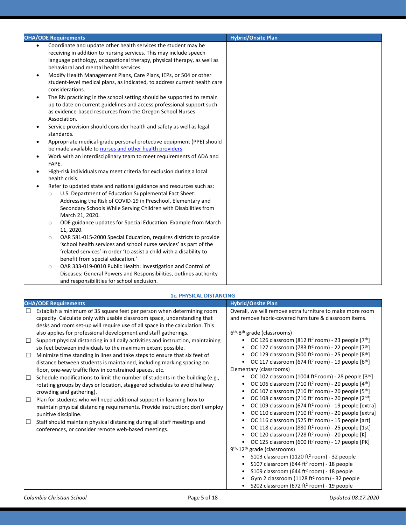| <b>OHA/ODE Requirements</b><br><b>Hybrid/Onsite Plan</b><br>Coordinate and update other health services the student may be<br>receiving in addition to nursing services. This may include speech<br>language pathology, occupational therapy, physical therapy, as well as<br>behavioral and mental health services.<br>Modify Health Management Plans, Care Plans, IEPs, or 504 or other<br>$\bullet$<br>student-level medical plans, as indicated, to address current health care<br>considerations. |  |
|--------------------------------------------------------------------------------------------------------------------------------------------------------------------------------------------------------------------------------------------------------------------------------------------------------------------------------------------------------------------------------------------------------------------------------------------------------------------------------------------------------|--|
|                                                                                                                                                                                                                                                                                                                                                                                                                                                                                                        |  |
|                                                                                                                                                                                                                                                                                                                                                                                                                                                                                                        |  |
|                                                                                                                                                                                                                                                                                                                                                                                                                                                                                                        |  |
|                                                                                                                                                                                                                                                                                                                                                                                                                                                                                                        |  |
|                                                                                                                                                                                                                                                                                                                                                                                                                                                                                                        |  |
|                                                                                                                                                                                                                                                                                                                                                                                                                                                                                                        |  |
|                                                                                                                                                                                                                                                                                                                                                                                                                                                                                                        |  |
|                                                                                                                                                                                                                                                                                                                                                                                                                                                                                                        |  |
| The RN practicing in the school setting should be supported to remain                                                                                                                                                                                                                                                                                                                                                                                                                                  |  |
| up to date on current guidelines and access professional support such                                                                                                                                                                                                                                                                                                                                                                                                                                  |  |
| as evidence-based resources from the Oregon School Nurses<br>Association.                                                                                                                                                                                                                                                                                                                                                                                                                              |  |
|                                                                                                                                                                                                                                                                                                                                                                                                                                                                                                        |  |
| Service provision should consider health and safety as well as legal<br>$\bullet$                                                                                                                                                                                                                                                                                                                                                                                                                      |  |
| standards.                                                                                                                                                                                                                                                                                                                                                                                                                                                                                             |  |
| Appropriate medical-grade personal protective equipment (PPE) should<br>٠                                                                                                                                                                                                                                                                                                                                                                                                                              |  |
| be made available to nurses and other health providers.                                                                                                                                                                                                                                                                                                                                                                                                                                                |  |
| Work with an interdisciplinary team to meet requirements of ADA and<br>٠<br>FAPE.                                                                                                                                                                                                                                                                                                                                                                                                                      |  |
|                                                                                                                                                                                                                                                                                                                                                                                                                                                                                                        |  |
| High-risk individuals may meet criteria for exclusion during a local<br>$\bullet$                                                                                                                                                                                                                                                                                                                                                                                                                      |  |
| health crisis.                                                                                                                                                                                                                                                                                                                                                                                                                                                                                         |  |
| Refer to updated state and national guidance and resources such as:                                                                                                                                                                                                                                                                                                                                                                                                                                    |  |
| U.S. Department of Education Supplemental Fact Sheet:<br>$\circ$                                                                                                                                                                                                                                                                                                                                                                                                                                       |  |
| Addressing the Risk of COVID-19 in Preschool, Elementary and                                                                                                                                                                                                                                                                                                                                                                                                                                           |  |
| Secondary Schools While Serving Children with Disabilities from                                                                                                                                                                                                                                                                                                                                                                                                                                        |  |
| March 21, 2020.                                                                                                                                                                                                                                                                                                                                                                                                                                                                                        |  |
| ODE guidance updates for Special Education. Example from March<br>$\circ$                                                                                                                                                                                                                                                                                                                                                                                                                              |  |
| 11, 2020.                                                                                                                                                                                                                                                                                                                                                                                                                                                                                              |  |
| OAR 581-015-2000 Special Education, requires districts to provide<br>$\circ$<br>'school health services and school nurse services' as part of the                                                                                                                                                                                                                                                                                                                                                      |  |
|                                                                                                                                                                                                                                                                                                                                                                                                                                                                                                        |  |
| 'related services' in order 'to assist a child with a disability to<br>benefit from special education.'                                                                                                                                                                                                                                                                                                                                                                                                |  |
| OAR 333-019-0010 Public Health: Investigation and Control of                                                                                                                                                                                                                                                                                                                                                                                                                                           |  |
| $\circ$                                                                                                                                                                                                                                                                                                                                                                                                                                                                                                |  |
| Diseases: General Powers and Responsibilities, outlines authority<br>and responsibilities for school exclusion.                                                                                                                                                                                                                                                                                                                                                                                        |  |

#### **1c. PHYSICAL DISTANCING**

| <b>OHA/ODE Requirements</b>                                                                                                                                                                                                                                                                                                                                                                                                                                                                                                                                                                                                                                                                                                                                                                                                                                                                                                                                                                                                                                                                                                                                    | <b>Hybrid/Onsite Plan</b>                                                                                                                                                                                                                                                                                                                                                                                                                                                                                                                                                                                                                                                                                                                                                                                                                                                                                                                                                                                                                    |
|----------------------------------------------------------------------------------------------------------------------------------------------------------------------------------------------------------------------------------------------------------------------------------------------------------------------------------------------------------------------------------------------------------------------------------------------------------------------------------------------------------------------------------------------------------------------------------------------------------------------------------------------------------------------------------------------------------------------------------------------------------------------------------------------------------------------------------------------------------------------------------------------------------------------------------------------------------------------------------------------------------------------------------------------------------------------------------------------------------------------------------------------------------------|----------------------------------------------------------------------------------------------------------------------------------------------------------------------------------------------------------------------------------------------------------------------------------------------------------------------------------------------------------------------------------------------------------------------------------------------------------------------------------------------------------------------------------------------------------------------------------------------------------------------------------------------------------------------------------------------------------------------------------------------------------------------------------------------------------------------------------------------------------------------------------------------------------------------------------------------------------------------------------------------------------------------------------------------|
| Establish a minimum of 35 square feet per person when determining room<br>□<br>capacity. Calculate only with usable classroom space, understanding that<br>desks and room set-up will require use of all space in the calculation. This<br>also applies for professional development and staff gatherings.<br>Support physical distancing in all daily activities and instruction, maintaining<br>□<br>six feet between individuals to the maximum extent possible.<br>Minimize time standing in lines and take steps to ensure that six feet of<br>□<br>distance between students is maintained, including marking spacing on<br>floor, one-way traffic flow in constrained spaces, etc.<br>Schedule modifications to limit the number of students in the building (e.g.,<br>□<br>rotating groups by days or location, staggered schedules to avoid hallway<br>crowding and gathering).<br>Plan for students who will need additional support in learning how to<br>□<br>maintain physical distancing requirements. Provide instruction; don't employ<br>punitive discipline.<br>Staff should maintain physical distancing during all staff meetings and<br>□ | Overall, we will remove extra furniture to make more room<br>and remove fabric-covered furniture & classroom items.<br>6 <sup>th</sup> -8 <sup>th</sup> grade (classrooms)<br>OC 126 classroom (812 ft <sup>2</sup> room) - 23 people $[7th]$<br>OC 127 classroom (783 ft <sup>2</sup> room) - 22 people [7 <sup>th</sup> ]<br>OC 129 classroom (900 ft <sup>2</sup> room) - 25 people [8 <sup>th</sup> ]<br>OC 117 classroom (674 ft <sup>2</sup> room) - 19 people [6 <sup>th</sup> ]<br>Elementary (classrooms)<br>OC 102 classroom (1004 ft <sup>2</sup> room) - 28 people $[3^{rd}]$<br>$\bullet$<br>OC 106 classroom (710 ft <sup>2</sup> room) - 20 people $[4th]$<br>OC 107 classroom (710 ft <sup>2</sup> room) - 20 people [5 <sup>th</sup> ]<br>OC 108 classroom (710 ft <sup>2</sup> room) - 20 people [2 <sup>nd</sup> ]<br>OC 109 classroom (674 ft <sup>2</sup> room) - 19 people [extra]<br>OC 110 classroom (710 ft <sup>2</sup> room) - 20 people [extra]<br>OC 116 classroom (525 ft <sup>2</sup> room) - 15 people [art] |
| conferences, or consider remote web-based meetings.                                                                                                                                                                                                                                                                                                                                                                                                                                                                                                                                                                                                                                                                                                                                                                                                                                                                                                                                                                                                                                                                                                            | OC 118 classroom (880 ft <sup>2</sup> room) - 25 people [1st]<br>OC 120 classroom (728 ft <sup>2</sup> room) - 20 people [K]<br>OC 125 classroom (600 ft <sup>2</sup> room) - 17 people [PK]<br>9 <sup>th</sup> -12 <sup>th</sup> grade (classrooms)<br>S103 classroom (1120 ft <sup>2</sup> room) - 32 people<br>S107 classroom (644 ft <sup>2</sup> room) - 18 people<br>S109 classroom (644 ft <sup>2</sup> room) - 18 people<br>$\bullet$<br>Gym 2 classroom (1128 ft <sup>2</sup> room) - 32 people<br>S202 classroom (672 ft <sup>2</sup> room) - 19 people                                                                                                                                                                                                                                                                                                                                                                                                                                                                            |
| Columbia Christian School<br>Page 5 of 18                                                                                                                                                                                                                                                                                                                                                                                                                                                                                                                                                                                                                                                                                                                                                                                                                                                                                                                                                                                                                                                                                                                      | Updated 08.17.2020                                                                                                                                                                                                                                                                                                                                                                                                                                                                                                                                                                                                                                                                                                                                                                                                                                                                                                                                                                                                                           |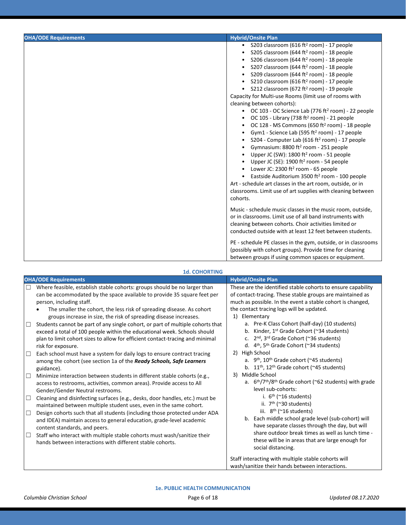| <b>OHA/ODE Requirements</b> | <b>Hybrid/Onsite Plan</b>                                                                                                                                                                                                                                                                                                                                                                                                                                                                                                                                                                                                                                                                                                                                                                                                                                                                                                                                                                                                                                                                                                                                                                                                                                                  |
|-----------------------------|----------------------------------------------------------------------------------------------------------------------------------------------------------------------------------------------------------------------------------------------------------------------------------------------------------------------------------------------------------------------------------------------------------------------------------------------------------------------------------------------------------------------------------------------------------------------------------------------------------------------------------------------------------------------------------------------------------------------------------------------------------------------------------------------------------------------------------------------------------------------------------------------------------------------------------------------------------------------------------------------------------------------------------------------------------------------------------------------------------------------------------------------------------------------------------------------------------------------------------------------------------------------------|
|                             | S203 classroom (616 ft <sup>2</sup> room) - 17 people<br>$\bullet$<br>S205 classroom (644 ft <sup>2</sup> room) - 18 people<br>S206 classroom (644 ft <sup>2</sup> room) - 18 people<br>S207 classroom (644 ft <sup>2</sup> room) - 18 people<br>S209 classroom (644 ft <sup>2</sup> room) - 18 people<br>S210 classroom (616 ft <sup>2</sup> room) - 17 people<br>S212 classroom (672 ft <sup>2</sup> room) - 19 people<br>Capacity for Multi-use Rooms (limit use of rooms with<br>cleaning between cohorts):<br>• OC 103 - OC Science Lab (776 ft <sup>2</sup> room) - 22 people<br>OC 105 - Library (738 ft <sup>2</sup> room) - 21 people<br>OC 128 - MS Commons (650 ft <sup>2</sup> room) - 18 people<br>Gym1 - Science Lab (595 ft <sup>2</sup> room) - 17 people<br>S204 - Computer Lab (616 ft <sup>2</sup> room) - 17 people<br>Gymnasium: 8800 ft <sup>2</sup> room - 251 people<br>Upper JC (SW): 1800 ft <sup>2</sup> room - 51 people<br>Upper JC (SE): $1900$ ft <sup>2</sup> room - 54 people<br>Lower JC: 2300 ft <sup>2</sup> room - 65 people<br>• Eastside Auditorium 3500 ft <sup>2</sup> room - 100 people<br>Art - schedule art classes in the art room, outside, or in<br>classrooms. Limit use of art supplies with cleaning between<br>cohorts. |
|                             | Music - schedule music classes in the music room, outside,<br>or in classrooms. Limit use of all band instruments with<br>cleaning between cohorts. Choir activities limited or<br>conducted outside with at least 12 feet between students.<br>PE - schedule PE classes in the gym, outside, or in classrooms<br>(possibly with cohort groups). Provide time for cleaning<br>between groups if using common spaces or equipment.                                                                                                                                                                                                                                                                                                                                                                                                                                                                                                                                                                                                                                                                                                                                                                                                                                          |

#### **1d. COHORTING**

| <b>OHA/ODE Requirements</b>                                                                                                                                                                                                                                                                                                                                                                                                                                                                                                                                                                                                                                                                                                                                                                                                                                                                                                                                                                                                                                                                                                                                                                                                                                                                                                                                                                                                                                                                                          | <b>Hybrid/Onsite Plan</b>                                                                                                                                                                                                                                                                                                                                                                                                                                                                                                                                                                                                                                                                                                                                                                                                                                                                                                                                                                                                                                                       |
|----------------------------------------------------------------------------------------------------------------------------------------------------------------------------------------------------------------------------------------------------------------------------------------------------------------------------------------------------------------------------------------------------------------------------------------------------------------------------------------------------------------------------------------------------------------------------------------------------------------------------------------------------------------------------------------------------------------------------------------------------------------------------------------------------------------------------------------------------------------------------------------------------------------------------------------------------------------------------------------------------------------------------------------------------------------------------------------------------------------------------------------------------------------------------------------------------------------------------------------------------------------------------------------------------------------------------------------------------------------------------------------------------------------------------------------------------------------------------------------------------------------------|---------------------------------------------------------------------------------------------------------------------------------------------------------------------------------------------------------------------------------------------------------------------------------------------------------------------------------------------------------------------------------------------------------------------------------------------------------------------------------------------------------------------------------------------------------------------------------------------------------------------------------------------------------------------------------------------------------------------------------------------------------------------------------------------------------------------------------------------------------------------------------------------------------------------------------------------------------------------------------------------------------------------------------------------------------------------------------|
| Where feasible, establish stable cohorts: groups should be no larger than<br>$\Box$<br>can be accommodated by the space available to provide 35 square feet per<br>person, including staff.<br>The smaller the cohort, the less risk of spreading disease. As cohort<br>$\bullet$<br>groups increase in size, the risk of spreading disease increases.<br>Students cannot be part of any single cohort, or part of multiple cohorts that<br>$\Box$<br>exceed a total of 100 people within the educational week. Schools should<br>plan to limit cohort sizes to allow for efficient contact-tracing and minimal<br>risk for exposure.<br>Each school must have a system for daily logs to ensure contract tracing<br>□<br>among the cohort (see section 1a of the Ready Schools, Safe Learners<br>guidance).<br>Minimize interaction between students in different stable cohorts (e.g.,<br>□<br>access to restrooms, activities, common areas). Provide access to All<br>Gender/Gender Neutral restrooms.<br>Cleaning and disinfecting surfaces (e.g., desks, door handles, etc.) must be<br>□<br>maintained between multiple student uses, even in the same cohort.<br>Design cohorts such that all students (including those protected under ADA<br>□<br>and IDEA) maintain access to general education, grade-level academic<br>content standards, and peers.<br>Staff who interact with multiple stable cohorts must wash/sanitize their<br>$\Box$<br>hands between interactions with different stable cohorts. | These are the identified stable cohorts to ensure capability<br>of contact-tracing. These stable groups are maintained as<br>much as possible. In the event a stable cohort is changed,<br>the contact tracing logs will be updated.<br>Elementary<br>1)<br>a. Pre-K Class Cohort (half-day) (10 students)<br>b. Kinder, 1 <sup>st</sup> Grade Cohort (~34 students)<br>c. $2^{nd}$ , $3^{rd}$ Grade Cohort (~36 students)<br>d. $4th$ , 5 <sup>th</sup> Grade Cohort (~34 students)<br>High School<br>2)<br>a. 9 <sup>th</sup> , 10 <sup>th</sup> Grade cohort (~45 students)<br>b. $11th$ , $12th$ Grade cohort (~45 students)<br>Middle School<br>3)<br>a. $6th/7th/8th$ Grade cohort (~62 students) with grade<br>level sub-cohorts:<br>i. $6th$ (~16 students)<br>ii. $7th$ (~30 students)<br>iii. 8 <sup>th</sup> (~16 students)<br>b. Each middle school grade level (sub-cohort) will<br>have separate classes through the day, but will<br>share outdoor break times as well as lunch time -<br>these will be in areas that are large enough for<br>social distancing. |
|                                                                                                                                                                                                                                                                                                                                                                                                                                                                                                                                                                                                                                                                                                                                                                                                                                                                                                                                                                                                                                                                                                                                                                                                                                                                                                                                                                                                                                                                                                                      | Staff interacting with multiple stable cohorts will<br>wash/sanitize their hands between interactions.                                                                                                                                                                                                                                                                                                                                                                                                                                                                                                                                                                                                                                                                                                                                                                                                                                                                                                                                                                          |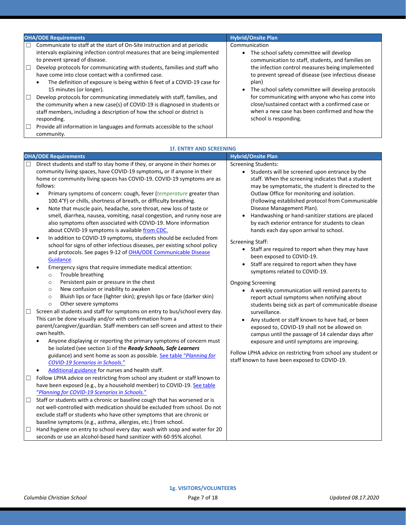| <b>OHA/ODE Requirements</b>                                                                                                                                                                                                                                                                                                                                                                                                                       | <b>Hybrid/Onsite Plan</b>                                                                                                                                                                                                                                                                 |  |
|---------------------------------------------------------------------------------------------------------------------------------------------------------------------------------------------------------------------------------------------------------------------------------------------------------------------------------------------------------------------------------------------------------------------------------------------------|-------------------------------------------------------------------------------------------------------------------------------------------------------------------------------------------------------------------------------------------------------------------------------------------|--|
| Communicate to staff at the start of On-Site instruction and at periodic<br>П<br>intervals explaining infection control measures that are being implemented<br>to prevent spread of disease.<br>Develop protocols for communicating with students, families and staff who<br>$\Box$<br>have come into close contact with a confirmed case.<br>The definition of exposure is being within 6 feet of a COVID-19 case for<br>15 minutes (or longer). | Communication<br>The school safety committee will develop<br>communication to staff, students, and families on<br>the infection control measures being implemented<br>to prevent spread of disease (see infectious disease<br>plan)<br>The school safety committee will develop protocols |  |
| Develop protocols for communicating immediately with staff, families, and<br>$\Box$<br>the community when a new case(s) of COVID-19 is diagnosed in students or<br>staff members, including a description of how the school or district is<br>responding.<br>Provide all information in languages and formats accessible to the school<br>$\Box$<br>community.                                                                                    | for communicating with anyone who has come into<br>close/sustained contact with a confirmed case or<br>when a new case has been confirmed and how the<br>school is responding.                                                                                                            |  |

|        | <b>OHA/ODE Requirements</b><br>Direct students and staff to stay home if they, or anyone in their homes or<br>community living spaces, have COVID-19 symptoms, or if anyone in their<br>home or community living spaces has COVID-19. COVID-19 symptoms are as<br>follows:<br>Primary symptoms of concern: cough, fever (temperature greater than<br>100.4°F) or chills, shortness of breath, or difficulty breathing.<br>Note that muscle pain, headache, sore throat, new loss of taste or<br>$\bullet$<br>smell, diarrhea, nausea, vomiting, nasal congestion, and runny nose are<br>also symptoms often associated with COVID-19. More information<br>about COVID-19 symptoms is available from CDC.<br>In addition to COVID-19 symptoms, students should be excluded from<br>$\bullet$<br>school for signs of other infectious diseases, per existing school policy<br>and protocols. See pages 9-12 of OHA/ODE Communicable Disease<br>Guidance. | <b>Hybrid/Onsite Plan</b><br><b>Screening Students:</b><br>• Students will be screened upon entrance by the<br>staff. When the screening indicates that a student<br>may be symptomatic, the student is directed to the<br>Outlaw Office for monitoring and isolation.<br>(Following established protocol from Communicable<br>Disease Management Plan).<br>Handwashing or hand-sanitizer stations are placed<br>by each exterior entrance for students to clean<br>hands each day upon arrival to school.<br><b>Screening Staff:</b><br>• Staff are required to report when they may have<br>been exposed to COVID-19. |
|--------|--------------------------------------------------------------------------------------------------------------------------------------------------------------------------------------------------------------------------------------------------------------------------------------------------------------------------------------------------------------------------------------------------------------------------------------------------------------------------------------------------------------------------------------------------------------------------------------------------------------------------------------------------------------------------------------------------------------------------------------------------------------------------------------------------------------------------------------------------------------------------------------------------------------------------------------------------------|-------------------------------------------------------------------------------------------------------------------------------------------------------------------------------------------------------------------------------------------------------------------------------------------------------------------------------------------------------------------------------------------------------------------------------------------------------------------------------------------------------------------------------------------------------------------------------------------------------------------------|
| $\Box$ | Emergency signs that require immediate medical attention:<br>Trouble breathing<br>$\circ$<br>Persistent pain or pressure in the chest<br>$\circ$<br>New confusion or inability to awaken<br>$\circ$<br>Bluish lips or face (lighter skin); greyish lips or face (darker skin)<br>$\circ$<br>Other severe symptoms<br>$\circ$<br>Screen all students and staff for symptoms on entry to bus/school every day.<br>This can be done visually and/or with confirmation from a<br>parent/caregiver/guardian. Staff members can self-screen and attest to their<br>own health.<br>Anyone displaying or reporting the primary symptoms of concern must<br>be isolated (see section 1i of the Ready Schools, Safe Learners<br>guidance) and sent home as soon as possible. See table "Planning for<br><b>COVID-19 Scenarios in Schools."</b><br>Additional guidance for nurses and health staff.                                                               | Staff are required to report when they have<br>symptoms related to COVID-19.<br><b>Ongoing Screening</b><br>• A weekly communication will remind parents to<br>report actual symptoms when notifying about<br>students being sick as part of communicable disease<br>surveillance.<br>Any student or staff known to have had, or been<br>$\bullet$<br>exposed to, COVID-19 shall not be allowed on<br>campus until the passage of 14 calendar days after<br>exposure and until symptoms are improving.<br>Follow LPHA advice on restricting from school any student or<br>staff known to have been exposed to COVID-19. |
| $\Box$ | Follow LPHA advice on restricting from school any student or staff known to<br>have been exposed (e.g., by a household member) to COVID-19. See table<br>"Planning for COVID-19 Scenarios in Schools."                                                                                                                                                                                                                                                                                                                                                                                                                                                                                                                                                                                                                                                                                                                                                 |                                                                                                                                                                                                                                                                                                                                                                                                                                                                                                                                                                                                                         |
| $\Box$ | Staff or students with a chronic or baseline cough that has worsened or is<br>not well-controlled with medication should be excluded from school. Do not<br>exclude staff or students who have other symptoms that are chronic or<br>baseline symptoms (e.g., asthma, allergies, etc.) from school.                                                                                                                                                                                                                                                                                                                                                                                                                                                                                                                                                                                                                                                    |                                                                                                                                                                                                                                                                                                                                                                                                                                                                                                                                                                                                                         |
| ⊔      | Hand hygiene on entry to school every day: wash with soap and water for 20<br>seconds or use an alcohol-based hand sanitizer with 60-95% alcohol.                                                                                                                                                                                                                                                                                                                                                                                                                                                                                                                                                                                                                                                                                                                                                                                                      |                                                                                                                                                                                                                                                                                                                                                                                                                                                                                                                                                                                                                         |

# **1f. ENTRY AND SCREENING**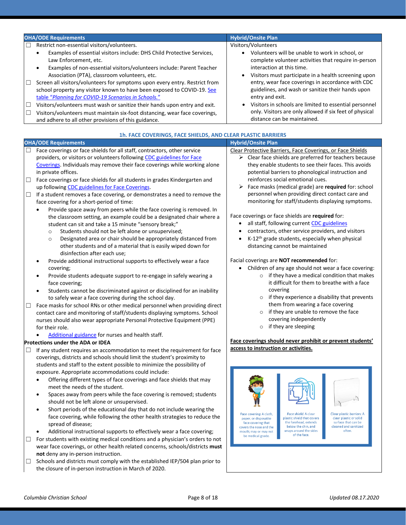| <b>OHA/ODE Requirements</b>                                                                                                                                                                                                                                                                                                                                                                                                                                                                                                                                                                                                                                                                                                        | <b>Hybrid/Onsite Plan</b>                                                                                                                                                                                                                                                                                                                                                                                                                                                                              |
|------------------------------------------------------------------------------------------------------------------------------------------------------------------------------------------------------------------------------------------------------------------------------------------------------------------------------------------------------------------------------------------------------------------------------------------------------------------------------------------------------------------------------------------------------------------------------------------------------------------------------------------------------------------------------------------------------------------------------------|--------------------------------------------------------------------------------------------------------------------------------------------------------------------------------------------------------------------------------------------------------------------------------------------------------------------------------------------------------------------------------------------------------------------------------------------------------------------------------------------------------|
| Restrict non-essential visitors/volunteers.<br>Examples of essential visitors include: DHS Child Protective Services,<br>Law Enforcement, etc.<br>Examples of non-essential visitors/volunteers include: Parent Teacher<br>Association (PTA), classroom volunteers, etc.<br>Screen all visitors/volunteers for symptoms upon every entry. Restrict from<br>$\Box$<br>school property any visitor known to have been exposed to COVID-19. See<br>table "Planning for COVID-19 Scenarios in Schools."<br>Visitors/volunteers must wash or sanitize their hands upon entry and exit.<br>E<br>Visitors/volunteers must maintain six-foot distancing, wear face coverings,<br>□<br>and adhere to all other provisions of this guidance. | Visitors/Volunteers<br>• Volunteers will be unable to work in school, or<br>complete volunteer activities that require in-person<br>interaction at this time.<br>Visitors must participate in a health screening upon<br>entry, wear face coverings in accordance with CDC<br>guidelines, and wash or sanitize their hands upon<br>entry and exit.<br>Visitors in schools are limited to essential personnel<br>only. Visitors are only allowed if six feet of physical<br>distance can be maintained. |

| 1h. FACE COVERINGS, FACE SHIELDS, AND CLEAR PLASTIC BARRIERS |                                                                                                                                                                                                                                                                                                                                                                                                                                                                                                                                                                                        |                                                                                                                                                                                                                                                                                                                                                                                                                        |  |
|--------------------------------------------------------------|----------------------------------------------------------------------------------------------------------------------------------------------------------------------------------------------------------------------------------------------------------------------------------------------------------------------------------------------------------------------------------------------------------------------------------------------------------------------------------------------------------------------------------------------------------------------------------------|------------------------------------------------------------------------------------------------------------------------------------------------------------------------------------------------------------------------------------------------------------------------------------------------------------------------------------------------------------------------------------------------------------------------|--|
|                                                              | <b>OHA/ODE Requirements</b>                                                                                                                                                                                                                                                                                                                                                                                                                                                                                                                                                            | <b>Hybrid/Onsite Plan</b>                                                                                                                                                                                                                                                                                                                                                                                              |  |
| □                                                            | Face coverings or face shields for all staff, contractors, other service<br>providers, or visitors or volunteers following CDC guidelines for Face<br>Coverings. Individuals may remove their face coverings while working alone<br>in private offices.                                                                                                                                                                                                                                                                                                                                | Clear Protective Barriers, Face Coverings, or Face Shields<br>$\triangleright$ Clear face shields are preferred for teachers because<br>they enable students to see their faces. This avoids<br>potential barriers to phonological instruction and                                                                                                                                                                     |  |
| $\Box$<br>$\Box$                                             | Face coverings or face shields for all students in grades Kindergarten and<br>up following CDC guidelines for Face Coverings.<br>If a student removes a face covering, or demonstrates a need to remove the                                                                                                                                                                                                                                                                                                                                                                            | reinforces social emotional cues.<br>Face masks (medical grade) are required for: school<br>➤<br>personnel when providing direct contact care and                                                                                                                                                                                                                                                                      |  |
|                                                              | face covering for a short-period of time:<br>Provide space away from peers while the face covering is removed. In<br>the classroom setting, an example could be a designated chair where a<br>student can sit and take a 15 minute "sensory break;"<br>Students should not be left alone or unsupervised;<br>$\circ$<br>Designated area or chair should be appropriately distanced from<br>$\circ$<br>other students and of a material that is easily wiped down for<br>disinfection after each use;<br>Provide additional instructional supports to effectively wear a face           | monitoring for staff/students displaying symptoms.<br>Face coverings or face shields are required for:<br>all staff, following current CDC guidelines<br>contractors, other service providers, and visitors<br>K-12 <sup>th</sup> grade students, especially when physical<br>distancing cannot be maintained<br>Facial coverings are NOT recommended for:                                                             |  |
|                                                              | covering;<br>Provide students adequate support to re-engage in safely wearing a<br>face covering;<br>Students cannot be discriminated against or disciplined for an inability<br>to safely wear a face covering during the school day.                                                                                                                                                                                                                                                                                                                                                 | Children of any age should not wear a face covering:<br>$\circ$ if they have a medical condition that makes<br>it difficult for them to breathe with a face<br>covering<br>$\circ$ if they experience a disability that prevents                                                                                                                                                                                       |  |
| $\Box$                                                       | Face masks for school RNs or other medical personnel when providing direct<br>contact care and monitoring of staff/students displaying symptoms. School<br>nurses should also wear appropriate Personal Protective Equipment (PPE)<br>for their role.<br>Additional guidance for nurses and health staff.                                                                                                                                                                                                                                                                              | them from wearing a face covering<br>if they are unable to remove the face<br>covering independently<br>$\circ$ if they are sleeping                                                                                                                                                                                                                                                                                   |  |
| $\Box$                                                       | <b>Protections under the ADA or IDEA</b><br>If any student requires an accommodation to meet the requirement for face<br>coverings, districts and schools should limit the student's proximity to<br>students and staff to the extent possible to minimize the possibility of<br>exposure. Appropriate accommodations could include:                                                                                                                                                                                                                                                   | Face coverings should never prohibit or prevent students'<br>access to instruction or activities.                                                                                                                                                                                                                                                                                                                      |  |
|                                                              | Offering different types of face coverings and face shields that may<br>meet the needs of the student.<br>Spaces away from peers while the face covering is removed; students<br>should not be left alone or unsupervised.<br>Short periods of the educational day that do not include wearing the<br>face covering, while following the other health strategies to reduce the<br>spread of disease;<br>Additional instructional supports to effectively wear a face covering;<br>and a comparable content of the contract and the first state of a state of the state of a state of a | Face covering: A cloth,<br>Face shield: A clear<br><b>Clear plastic barriers: A</b><br>plastic shield that covers<br>clear plastic or solid<br>paper, or disposable<br>the forehead, extends<br>surface that can be<br>face covering that<br>below the chin, and<br>cleaned and sanitized<br>covers the nose and the<br>wraps around the sides<br>often.<br>mouth; may or may not<br>of the face.<br>be medical grade. |  |

*Columbia Christian School* Page 8 of 18 *Updated 08.17.2020*

**not** deny any in-person instruction.

 $\Box$  For students with existing medical conditions and a physician's orders to not wear face coverings, or other health related concerns, schools/districts **must** 

□ Schools and districts must comply with the established IEP/504 plan prior to

the closure of in-person instruction in March of 2020.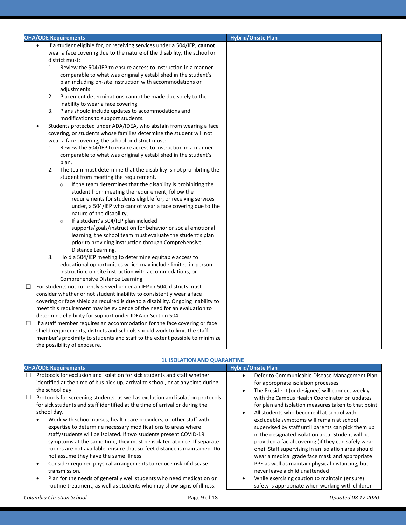|        |           | <b>OHA/ODE Requirements</b>                                                                                              | <b>Hybrid/Onsite Plan</b> |
|--------|-----------|--------------------------------------------------------------------------------------------------------------------------|---------------------------|
|        | $\bullet$ | If a student eligible for, or receiving services under a 504/IEP, cannot                                                 |                           |
|        |           | wear a face covering due to the nature of the disability, the school or                                                  |                           |
|        |           | district must:                                                                                                           |                           |
|        | 1.        | Review the 504/IEP to ensure access to instruction in a manner                                                           |                           |
|        |           | comparable to what was originally established in the student's                                                           |                           |
|        |           | plan including on-site instruction with accommodations or                                                                |                           |
|        |           | adjustments.                                                                                                             |                           |
|        | 2.        | Placement determinations cannot be made due solely to the                                                                |                           |
|        |           | inability to wear a face covering.                                                                                       |                           |
|        | 3.        | Plans should include updates to accommodations and                                                                       |                           |
|        |           | modifications to support students.                                                                                       |                           |
|        |           | Students protected under ADA/IDEA, who abstain from wearing a face                                                       |                           |
|        |           | covering, or students whose families determine the student will not                                                      |                           |
|        |           | wear a face covering, the school or district must:                                                                       |                           |
|        | 1.        | Review the 504/IEP to ensure access to instruction in a manner                                                           |                           |
|        |           | comparable to what was originally established in the student's                                                           |                           |
|        |           | plan.                                                                                                                    |                           |
|        | 2.        | The team must determine that the disability is not prohibiting the                                                       |                           |
|        |           | student from meeting the requirement.                                                                                    |                           |
|        |           | If the team determines that the disability is prohibiting the<br>$\circ$                                                 |                           |
|        |           | student from meeting the requirement, follow the                                                                         |                           |
|        |           | requirements for students eligible for, or receiving services                                                            |                           |
|        |           | under, a 504/IEP who cannot wear a face covering due to the                                                              |                           |
|        |           | nature of the disability,                                                                                                |                           |
|        |           | If a student's 504/IEP plan included<br>$\circ$                                                                          |                           |
|        |           | supports/goals/instruction for behavior or social emotional                                                              |                           |
|        |           | learning, the school team must evaluate the student's plan                                                               |                           |
|        |           | prior to providing instruction through Comprehensive                                                                     |                           |
|        |           | Distance Learning.                                                                                                       |                           |
|        | 3.        | Hold a 504/IEP meeting to determine equitable access to<br>educational opportunities which may include limited in-person |                           |
|        |           | instruction, on-site instruction with accommodations, or                                                                 |                           |
|        |           | Comprehensive Distance Learning.                                                                                         |                           |
| $\Box$ |           | For students not currently served under an IEP or 504, districts must                                                    |                           |
|        |           | consider whether or not student inability to consistently wear a face                                                    |                           |
|        |           | covering or face shield as required is due to a disability. Ongoing inability to                                         |                           |
|        |           | meet this requirement may be evidence of the need for an evaluation to                                                   |                           |
|        |           | determine eligibility for support under IDEA or Section 504.                                                             |                           |
| □      |           | If a staff member requires an accommodation for the face covering or face                                                |                           |
|        |           | shield requirements, districts and schools should work to limit the staff                                                |                           |
|        |           | member's proximity to students and staff to the extent possible to minimize                                              |                           |
|        |           | the possibility of exposure.                                                                                             |                           |
|        |           |                                                                                                                          |                           |

| the school day. | Protocols for exclusion and isolation for sick students and staff whether<br>identified at the time of bus pick-up, arrival to school, or at any time during<br>Protocols for screening students, as well as exclusion and isolation protocols                                                                                                                                                                                                                                          | Defer to Communicable Disease Management Plan<br>$\bullet$<br>for appropriate isolation processes<br>The President (or designee) will connect weekly<br>٠                                                                                                                                                                                                                                                                                                                               |  |
|-----------------|-----------------------------------------------------------------------------------------------------------------------------------------------------------------------------------------------------------------------------------------------------------------------------------------------------------------------------------------------------------------------------------------------------------------------------------------------------------------------------------------|-----------------------------------------------------------------------------------------------------------------------------------------------------------------------------------------------------------------------------------------------------------------------------------------------------------------------------------------------------------------------------------------------------------------------------------------------------------------------------------------|--|
| school day.     | for sick students and staff identified at the time of arrival or during the<br>Work with school nurses, health care providers, or other staff with<br>expertise to determine necessary modifications to areas where<br>staff/students will be isolated. If two students present COVID-19<br>symptoms at the same time, they must be isolated at once. If separate<br>rooms are not available, ensure that six feet distance is maintained. Do<br>not assume they have the same illness. | with the Campus Health Coordinator on updates<br>for plan and isolation measures taken to that point<br>All students who become ill at school with<br>$\bullet$<br>excludable symptoms will remain at school<br>supervised by staff until parents can pick them up<br>in the designated isolation area. Student will be<br>provided a facial covering (if they can safely wear<br>one). Staff supervising in an isolation area should<br>wear a medical grade face mask and appropriate |  |
| transmission.   | Consider required physical arrangements to reduce risk of disease<br>Plan for the needs of generally well students who need medication or<br>routine treatment, as well as students who may show signs of illness.                                                                                                                                                                                                                                                                      | PPE as well as maintain physical distancing, but<br>never leave a child unattended<br>While exercising caution to maintain (ensure)<br>٠<br>safety is appropriate when working with children                                                                                                                                                                                                                                                                                            |  |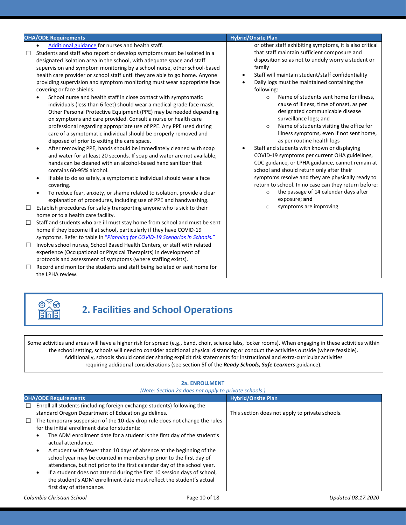| Additional guidance for nurses and health staff.<br>that staff maintain sufficient composure and<br>Students and staff who report or develop symptoms must be isolated in a<br>□<br>designated isolation area in the school, with adequate space and staff<br>family<br>supervision and symptom monitoring by a school nurse, other school-based<br>Staff will maintain student/staff confidentiality<br>health care provider or school staff until they are able to go home. Anyone<br>$\bullet$<br>providing supervision and symptom monitoring must wear appropriate face<br>Daily logs must be maintained containing the<br>$\bullet$<br>covering or face shields.<br>following:<br>Name of students sent home for illness,<br>School nurse and health staff in close contact with symptomatic<br>$\circ$<br>cause of illness, time of onset, as per<br>individuals (less than 6 feet) should wear a medical-grade face mask.<br>designated communicable disease<br>Other Personal Protective Equipment (PPE) may be needed depending<br>surveillance logs; and<br>on symptoms and care provided. Consult a nurse or health care<br>Name of students visiting the office for<br>professional regarding appropriate use of PPE. Any PPE used during<br>$\circ$<br>care of a symptomatic individual should be properly removed and<br>as per routine health logs<br>disposed of prior to exiting the care space.<br>Staff and students with known or displaying<br>After removing PPE, hands should be immediately cleaned with soap<br>$\bullet$<br>COVID-19 symptoms per current OHA guidelines,<br>and water for at least 20 seconds. If soap and water are not available,<br>hands can be cleaned with an alcohol-based hand sanitizer that<br>school and should return only after their<br>contains 60-95% alcohol.<br>If able to do so safely, a symptomatic individual should wear a face<br>$\bullet$<br>covering.<br>the passage of 14 calendar days after<br>$\circ$<br>To reduce fear, anxiety, or shame related to isolation, provide a clear<br>exposure; and<br>explanation of procedures, including use of PPE and handwashing.<br>symptoms are improving<br>$\circ$<br>Establish procedures for safely transporting anyone who is sick to their<br>$\Box$<br>home or to a health care facility.<br>Staff and students who are ill must stay home from school and must be sent<br>$\Box$<br>home if they become ill at school, particularly if they have COVID-19<br>symptoms. Refer to table in "Planning for COVID-19 Scenarios in Schools."<br>Involve school nurses, School Based Health Centers, or staff with related<br>$\Box$<br>experience (Occupational or Physical Therapists) in development of | <b>OHA/ODE Requirements</b> | <b>Hybrid/Onsite Plan</b>                                                                                                                                                                                                                                                                                                  |
|------------------------------------------------------------------------------------------------------------------------------------------------------------------------------------------------------------------------------------------------------------------------------------------------------------------------------------------------------------------------------------------------------------------------------------------------------------------------------------------------------------------------------------------------------------------------------------------------------------------------------------------------------------------------------------------------------------------------------------------------------------------------------------------------------------------------------------------------------------------------------------------------------------------------------------------------------------------------------------------------------------------------------------------------------------------------------------------------------------------------------------------------------------------------------------------------------------------------------------------------------------------------------------------------------------------------------------------------------------------------------------------------------------------------------------------------------------------------------------------------------------------------------------------------------------------------------------------------------------------------------------------------------------------------------------------------------------------------------------------------------------------------------------------------------------------------------------------------------------------------------------------------------------------------------------------------------------------------------------------------------------------------------------------------------------------------------------------------------------------------------------------------------------------------------------------------------------------------------------------------------------------------------------------------------------------------------------------------------------------------------------------------------------------------------------------------------------------------------------------------------------------------------------------------------------------------------------------------------------------------------------------------------------------------------------------------------------------------------|-----------------------------|----------------------------------------------------------------------------------------------------------------------------------------------------------------------------------------------------------------------------------------------------------------------------------------------------------------------------|
| protocols and assessment of symptoms (where staffing exists).<br>Record and monitor the students and staff being isolated or sent home for<br>$\Box$                                                                                                                                                                                                                                                                                                                                                                                                                                                                                                                                                                                                                                                                                                                                                                                                                                                                                                                                                                                                                                                                                                                                                                                                                                                                                                                                                                                                                                                                                                                                                                                                                                                                                                                                                                                                                                                                                                                                                                                                                                                                                                                                                                                                                                                                                                                                                                                                                                                                                                                                                                         |                             | or other staff exhibiting symptoms, it is also critical<br>disposition so as not to unduly worry a student or<br>illness symptoms, even if not sent home,<br>CDC guidance, or LPHA guidance, cannot remain at<br>symptoms resolve and they are physically ready to<br>return to school. In no case can they return before: |



# **2. Facilities and School Operations**

Some activities and areas will have a higher risk for spread (e.g., band, choir, science labs, locker rooms). When engaging in these activities within the school setting, schools will need to consider additional physical distancing or conduct the activities outside (where feasible). Additionally, schools should consider sharing explicit risk statements for instructional and extra-curricular activities requiring additional considerations (see section 5f of the *Ready Schools, Safe Learners* guidance).

|                                                                                                                                                                                                                                                                                                                                                                                                                                                                                                                                                                                                                                                                                                                                                                                            | (Note: Section 2a does not apply to private schools.) |                                                 |
|--------------------------------------------------------------------------------------------------------------------------------------------------------------------------------------------------------------------------------------------------------------------------------------------------------------------------------------------------------------------------------------------------------------------------------------------------------------------------------------------------------------------------------------------------------------------------------------------------------------------------------------------------------------------------------------------------------------------------------------------------------------------------------------------|-------------------------------------------------------|-------------------------------------------------|
| <b>OHA/ODE Requirements</b>                                                                                                                                                                                                                                                                                                                                                                                                                                                                                                                                                                                                                                                                                                                                                                |                                                       | <b>Hybrid/Onsite Plan</b>                       |
| г<br>Enroll all students (including foreign exchange students) following the<br>standard Oregon Department of Education guidelines.<br>The temporary suspension of the 10-day drop rule does not change the rules<br>$\Box$<br>for the initial enrollment date for students:<br>The ADM enrollment date for a student is the first day of the student's<br>actual attendance.<br>A student with fewer than 10 days of absence at the beginning of the<br>school year may be counted in membership prior to the first day of<br>attendance, but not prior to the first calendar day of the school year.<br>If a student does not attend during the first 10 session days of school,<br>٠<br>the student's ADM enrollment date must reflect the student's actual<br>first day of attendance. |                                                       | This section does not apply to private schools. |
| Columbia Christian School                                                                                                                                                                                                                                                                                                                                                                                                                                                                                                                                                                                                                                                                                                                                                                  | Page 10 of 18                                         | Updated 08.17.2020                              |

#### **2a. ENROLLMENT**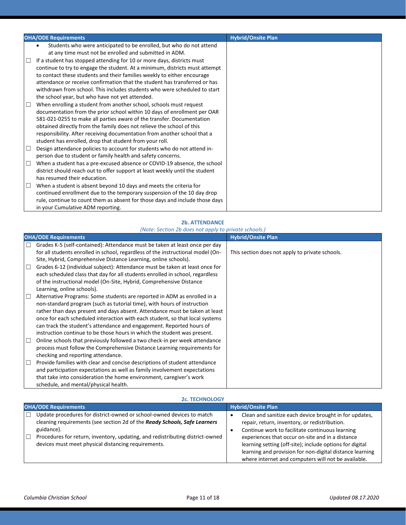|        | <b>OHA/ODE Requirements</b>                                                  | <b>Hybrid/Onsite Plan</b> |
|--------|------------------------------------------------------------------------------|---------------------------|
|        | Students who were anticipated to be enrolled, but who do not attend          |                           |
|        | at any time must not be enrolled and submitted in ADM.                       |                           |
| □      | If a student has stopped attending for 10 or more days, districts must       |                           |
|        | continue to try to engage the student. At a minimum, districts must attempt  |                           |
|        | to contact these students and their families weekly to either encourage      |                           |
|        | attendance or receive confirmation that the student has transferred or has   |                           |
|        | withdrawn from school. This includes students who were scheduled to start    |                           |
|        | the school year, but who have not yet attended.                              |                           |
| ⊔      | When enrolling a student from another school, schools must request           |                           |
|        | documentation from the prior school within 10 days of enrollment per OAR     |                           |
|        | 581-021-0255 to make all parties aware of the transfer. Documentation        |                           |
|        | obtained directly from the family does not relieve the school of this        |                           |
|        | responsibility. After receiving documentation from another school that a     |                           |
|        | student has enrolled, drop that student from your roll.                      |                           |
| $\Box$ | Design attendance policies to account for students who do not attend in-     |                           |
|        | person due to student or family health and safety concerns.                  |                           |
| $\Box$ | When a student has a pre-excused absence or COVID-19 absence, the school     |                           |
|        | district should reach out to offer support at least weekly until the student |                           |
|        | has resumed their education.                                                 |                           |
| $\Box$ | When a student is absent beyond 10 days and meets the criteria for           |                           |
|        | continued enrollment due to the temporary suspension of the 10 day drop      |                           |
|        | rule, continue to count them as absent for those days and include those days |                           |
|        | in your Cumulative ADM reporting.                                            |                           |

#### **2b. ATTENDANCE**

|                             | (Note: Section 2b does not apply to private schools.)                           |                                                 |  |
|-----------------------------|---------------------------------------------------------------------------------|-------------------------------------------------|--|
| <b>OHA/ODE Requirements</b> |                                                                                 | <b>Hybrid/Onsite Plan</b>                       |  |
| □                           | Grades K-5 (self-contained): Attendance must be taken at least once per day     |                                                 |  |
|                             | for all students enrolled in school, regardless of the instructional model (On- | This section does not apply to private schools. |  |
|                             | Site, Hybrid, Comprehensive Distance Learning, online schools).                 |                                                 |  |
| □                           | Grades 6-12 (individual subject): Attendance must be taken at least once for    |                                                 |  |
|                             | each scheduled class that day for all students enrolled in school, regardless   |                                                 |  |
|                             | of the instructional model (On-Site, Hybrid, Comprehensive Distance             |                                                 |  |
|                             | Learning, online schools).                                                      |                                                 |  |
| $\Box$                      | Alternative Programs: Some students are reported in ADM as enrolled in a        |                                                 |  |
|                             | non-standard program (such as tutorial time), with hours of instruction         |                                                 |  |
|                             | rather than days present and days absent. Attendance must be taken at least     |                                                 |  |
|                             | once for each scheduled interaction with each student, so that local systems    |                                                 |  |
|                             | can track the student's attendance and engagement. Reported hours of            |                                                 |  |
|                             | instruction continue to be those hours in which the student was present.        |                                                 |  |
| □                           | Online schools that previously followed a two check-in per week attendance      |                                                 |  |
|                             | process must follow the Comprehensive Distance Learning requirements for        |                                                 |  |
|                             | checking and reporting attendance.                                              |                                                 |  |
| □                           | Provide families with clear and concise descriptions of student attendance      |                                                 |  |
|                             | and participation expectations as well as family involvement expectations       |                                                 |  |
|                             | that take into consideration the home environment, caregiver's work             |                                                 |  |
|                             | schedule, and mental/physical health.                                           |                                                 |  |

| <b>2c. TECHNOLOGY</b> |  |
|-----------------------|--|

| <b>OHA/ODE Requirements</b>                                                                                                                                                                                                                                                                                   | <b>Hybrid/Onsite Plan</b>                                                                                                                                                                                                                                                                                                                                                                     |  |  |
|---------------------------------------------------------------------------------------------------------------------------------------------------------------------------------------------------------------------------------------------------------------------------------------------------------------|-----------------------------------------------------------------------------------------------------------------------------------------------------------------------------------------------------------------------------------------------------------------------------------------------------------------------------------------------------------------------------------------------|--|--|
| Update procedures for district-owned or school-owned devices to match<br>cleaning requirements (see section 2d of the Ready Schools, Safe Learners<br>guidance).<br>Procedures for return, inventory, updating, and redistributing district-owned<br>П<br>devices must meet physical distancing requirements. | Clean and sanitize each device brought in for updates,<br>repair, return, inventory, or redistribution.<br>Continue work to facilitate continuous learning<br>experiences that occur on-site and in a distance<br>learning setting (off-site); include options for digital<br>learning and provision for non-digital distance learning<br>where internet and computers will not be available. |  |  |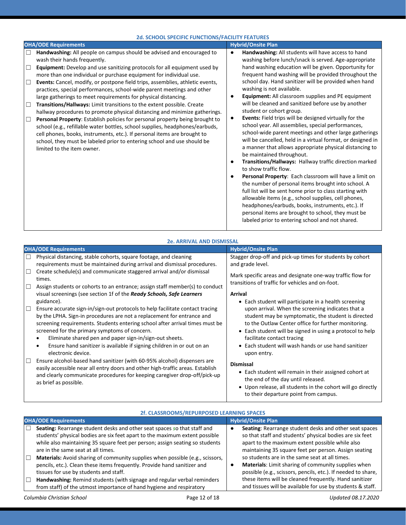| <b>2d. SCHOOL SPECIFIC FUNCTIONS/FACILITY FEATURES</b>                                                                                                                                                                                                                                                                                                                                                                                                                                                                                                                                                                                                                                                                                                                                                                                                                                                                                                                                                                                          |                                                                                                                                                                                                                                                                                                                                                                                                                                                                                                                                                                                                                                                                                                                                                                                                                                                                                                                                                                                                                                                                                                                                                                                                                                                                                                                |  |  |  |
|-------------------------------------------------------------------------------------------------------------------------------------------------------------------------------------------------------------------------------------------------------------------------------------------------------------------------------------------------------------------------------------------------------------------------------------------------------------------------------------------------------------------------------------------------------------------------------------------------------------------------------------------------------------------------------------------------------------------------------------------------------------------------------------------------------------------------------------------------------------------------------------------------------------------------------------------------------------------------------------------------------------------------------------------------|----------------------------------------------------------------------------------------------------------------------------------------------------------------------------------------------------------------------------------------------------------------------------------------------------------------------------------------------------------------------------------------------------------------------------------------------------------------------------------------------------------------------------------------------------------------------------------------------------------------------------------------------------------------------------------------------------------------------------------------------------------------------------------------------------------------------------------------------------------------------------------------------------------------------------------------------------------------------------------------------------------------------------------------------------------------------------------------------------------------------------------------------------------------------------------------------------------------------------------------------------------------------------------------------------------------|--|--|--|
| <b>OHA/ODE Requirements</b>                                                                                                                                                                                                                                                                                                                                                                                                                                                                                                                                                                                                                                                                                                                                                                                                                                                                                                                                                                                                                     | <b>Hybrid/Onsite Plan</b>                                                                                                                                                                                                                                                                                                                                                                                                                                                                                                                                                                                                                                                                                                                                                                                                                                                                                                                                                                                                                                                                                                                                                                                                                                                                                      |  |  |  |
| Handwashing: All people on campus should be advised and encouraged to<br>□<br>wash their hands frequently.<br>Equipment: Develop and use sanitizing protocols for all equipment used by<br>$\Box$<br>more than one individual or purchase equipment for individual use.<br>Events: Cancel, modify, or postpone field trips, assemblies, athletic events,<br>$\Box$<br>practices, special performances, school-wide parent meetings and other<br>large gatherings to meet requirements for physical distancing.<br>Transitions/Hallways: Limit transitions to the extent possible. Create<br>$\Box$<br>hallway procedures to promote physical distancing and minimize gatherings.<br>Personal Property: Establish policies for personal property being brought to<br>$\Box$<br>school (e.g., refillable water bottles, school supplies, headphones/earbuds,<br>cell phones, books, instruments, etc.). If personal items are brought to<br>school, they must be labeled prior to entering school and use should be<br>limited to the item owner. | Handwashing: All students will have access to hand<br>$\bullet$<br>washing before lunch/snack is served. Age-appropriate<br>hand washing education will be given. Opportunity for<br>frequent hand washing will be provided throughout the<br>school day. Hand sanitizer will be provided when hand<br>washing is not available.<br>Equipment: All classroom supplies and PE equipment<br>will be cleaned and sanitized before use by another<br>student or cohort group.<br>Events: Field trips will be designed virtually for the<br>$\bullet$<br>school year. All assemblies, special performances,<br>school-wide parent meetings and other large gatherings<br>will be cancelled, held in a virtual format, or designed in<br>a manner that allows appropriate physical distancing to<br>be maintained throughout.<br>Transitions/Hallways: Hallway traffic direction marked<br>to show traffic flow.<br>Personal Property: Each classroom will have a limit on<br>the number of personal items brought into school. A<br>full list will be sent home prior to class starting with<br>allowable items (e.g., school supplies, cell phones,<br>headphones/earbuds, books, instruments, etc.). If<br>personal items are brought to school, they must be<br>labeled prior to entering school and not shared. |  |  |  |

| <b>2e. ARRIVAL AND DISMISSAL</b>                                                                                                                                                                                                                                                                                                                                                                                                                         |                                                                                                                                                                                                                                                                                                                                   |  |  |
|----------------------------------------------------------------------------------------------------------------------------------------------------------------------------------------------------------------------------------------------------------------------------------------------------------------------------------------------------------------------------------------------------------------------------------------------------------|-----------------------------------------------------------------------------------------------------------------------------------------------------------------------------------------------------------------------------------------------------------------------------------------------------------------------------------|--|--|
| <b>OHA/ODE Requirements</b>                                                                                                                                                                                                                                                                                                                                                                                                                              | <b>Hybrid/Onsite Plan</b>                                                                                                                                                                                                                                                                                                         |  |  |
| Physical distancing, stable cohorts, square footage, and cleaning<br>□<br>requirements must be maintained during arrival and dismissal procedures.                                                                                                                                                                                                                                                                                                       | Stagger drop-off and pick-up times for students by cohort<br>and grade level.                                                                                                                                                                                                                                                     |  |  |
| Create schedule(s) and communicate staggered arrival and/or dismissal<br>□<br>times.<br>Assign students or cohorts to an entrance; assign staff member(s) to conduct<br>$\Box$                                                                                                                                                                                                                                                                           | Mark specific areas and designate one-way traffic flow for<br>transitions of traffic for vehicles and on-foot.                                                                                                                                                                                                                    |  |  |
| visual screenings (see section 1f of the Ready Schools, Safe Learners<br>guidance).                                                                                                                                                                                                                                                                                                                                                                      | <b>Arrival</b><br>• Each student will participate in a health screening                                                                                                                                                                                                                                                           |  |  |
| □<br>Ensure accurate sign-in/sign-out protocols to help facilitate contact tracing<br>by the LPHA. Sign-in procedures are not a replacement for entrance and<br>screening requirements. Students entering school after arrival times must be<br>screened for the primary symptoms of concern.<br>Eliminate shared pen and paper sign-in/sign-out sheets.<br>Ensure hand sanitizer is available if signing children in or out on an<br>electronic device. | upon arrival. When the screening indicates that a<br>student may be symptomatic, the student is directed<br>to the Outlaw Center office for further monitoring.<br>• Each student will be signed in using a protocol to help<br>facilitate contact tracing<br>• Each student will wash hands or use hand sanitizer<br>upon entry. |  |  |
| Ensure alcohol-based hand sanitizer (with 60-95% alcohol) dispensers are<br>□<br>easily accessible near all entry doors and other high-traffic areas. Establish<br>and clearly communicate procedures for keeping caregiver drop-off/pick-up<br>as brief as possible.                                                                                                                                                                                    | <b>Dismissal</b><br>• Each student will remain in their assigned cohort at<br>the end of the day until released.<br>• Upon release, all students in the cohort will go directly<br>to their departure point from campus.                                                                                                          |  |  |

| ZI. CLASSKOUIVIS/KEPUNPUSED LEANNING SPACES                                                                                                                                                                                                                                                                                                                                                                                                                                          |                                                                                                                                                                                                                                                                                                                                                                                                          |  |
|--------------------------------------------------------------------------------------------------------------------------------------------------------------------------------------------------------------------------------------------------------------------------------------------------------------------------------------------------------------------------------------------------------------------------------------------------------------------------------------|----------------------------------------------------------------------------------------------------------------------------------------------------------------------------------------------------------------------------------------------------------------------------------------------------------------------------------------------------------------------------------------------------------|--|
| <b>OHA/ODE Requirements</b>                                                                                                                                                                                                                                                                                                                                                                                                                                                          | <b>Hybrid/Onsite Plan</b>                                                                                                                                                                                                                                                                                                                                                                                |  |
| Seating: Rearrange student desks and other seat spaces so that staff and<br>students' physical bodies are six feet apart to the maximum extent possible<br>while also maintaining 35 square feet per person; assign seating so students<br>are in the same seat at all times.<br>Materials: Avoid sharing of community supplies when possible (e.g., scissors,<br>pencils, etc.). Clean these items frequently. Provide hand sanitizer and<br>tissues for use by students and staff. | Seating: Rearrange student desks and other seat spaces<br>so that staff and students' physical bodies are six feet<br>apart to the maximum extent possible while also<br>maintaining 35 square feet per person. Assign seating<br>so students are in the same seat at all times.<br>Materials: Limit sharing of community supplies when<br>possible (e.g., scissors, pencils, etc.). If needed to share, |  |
| from staff) of the utmost importance of hand hygiene and respiratory                                                                                                                                                                                                                                                                                                                                                                                                                 | these items will be cleaned frequently. Hand sanitizer<br>and tissues will be available for use by students & staff.                                                                                                                                                                                                                                                                                     |  |
|                                                                                                                                                                                                                                                                                                                                                                                                                                                                                      | Handwashing: Remind students (with signage and regular verbal reminders                                                                                                                                                                                                                                                                                                                                  |  |

#### **2f. CLASSROOMS/REPURPOSED LEARNING SPACES**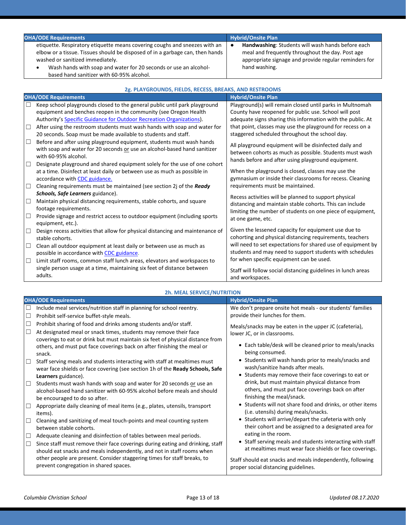| <b>OHA/ODE Requirements</b>                                                                                                                                                                                                                                                                                      | Hybrid/Onsite Plan                                                                                                                                                              |  |
|------------------------------------------------------------------------------------------------------------------------------------------------------------------------------------------------------------------------------------------------------------------------------------------------------------------|---------------------------------------------------------------------------------------------------------------------------------------------------------------------------------|--|
| etiquette. Respiratory etiquette means covering coughs and sneezes with an<br>elbow or a tissue. Tissues should be disposed of in a garbage can, then hands<br>washed or sanitized immediately.<br>Wash hands with soap and water for 20 seconds or use an alcohol-<br>based hand sanitizer with 60-95% alcohol. | Handwashing: Students will wash hands before each<br>meal and frequently throughout the day. Post age<br>appropriate signage and provide regular reminders for<br>hand washing. |  |

| 2g. PLAYGROUNDS, FIELDS, RECESS, BREAKS, AND RESTROOMS |                                                                                |                                                                                                                  |  |
|--------------------------------------------------------|--------------------------------------------------------------------------------|------------------------------------------------------------------------------------------------------------------|--|
|                                                        | <b>OHA/ODE Requirements</b>                                                    | <b>Hybrid/Onsite Plan</b>                                                                                        |  |
| □                                                      | Keep school playgrounds closed to the general public until park playground     | Playground(s) will remain closed until parks in Multnomah                                                        |  |
|                                                        | equipment and benches reopen in the community (see Oregon Health               | County have reopened for public use. School will post                                                            |  |
|                                                        | Authority's Specific Guidance for Outdoor Recreation Organizations).           | adequate signs sharing this information with the public. At                                                      |  |
| □                                                      | After using the restroom students must wash hands with soap and water for      | that point, classes may use the playground for recess on a                                                       |  |
|                                                        | 20 seconds. Soap must be made available to students and staff.                 | staggered scheduled throughout the school day.                                                                   |  |
| $\Box$                                                 | Before and after using playground equipment, students must wash hands          | All playground equipment will be disinfected daily and                                                           |  |
|                                                        | with soap and water for 20 seconds or use an alcohol-based hand sanitizer      | between cohorts as much as possible. Students must wash                                                          |  |
|                                                        | with 60-95% alcohol.                                                           | hands before and after using playground equipment.                                                               |  |
| $\Box$                                                 | Designate playground and shared equipment solely for the use of one cohort     |                                                                                                                  |  |
|                                                        | at a time. Disinfect at least daily or between use as much as possible in      | When the playground is closed, classes may use the                                                               |  |
|                                                        | accordance with CDC guidance.                                                  | gymnasium or inside their classrooms for recess. Cleaning                                                        |  |
| $\Box$                                                 | Cleaning requirements must be maintained (see section 2j of the Ready          | requirements must be maintained.                                                                                 |  |
|                                                        | Schools, Safe Learners guidance).                                              | Recess activities will be planned to support physical                                                            |  |
| □                                                      | Maintain physical distancing requirements, stable cohorts, and square          | distancing and maintain stable cohorts. This can include                                                         |  |
|                                                        | footage requirements.                                                          | limiting the number of students on one piece of equipment,                                                       |  |
| □                                                      | Provide signage and restrict access to outdoor equipment (including sports     | at one game, etc.                                                                                                |  |
|                                                        | equipment, etc.).                                                              |                                                                                                                  |  |
| □                                                      | Design recess activities that allow for physical distancing and maintenance of | Given the lessened capacity for equipment use due to<br>cohorting and physical distancing requirements, teachers |  |
|                                                        | stable cohorts.                                                                | will need to set expectations for shared use of equipment by                                                     |  |
| □                                                      | Clean all outdoor equipment at least daily or between use as much as           | students and may need to support students with schedules                                                         |  |
|                                                        | possible in accordance with CDC guidance.                                      | for when specific equipment can be used.                                                                         |  |
| □                                                      | Limit staff rooms, common staff lunch areas, elevators and workspaces to       |                                                                                                                  |  |
|                                                        | single person usage at a time, maintaining six feet of distance between        | Staff will follow social distancing guidelines in lunch areas                                                    |  |
|                                                        | adults.                                                                        | and workspaces.                                                                                                  |  |

#### **2h. MEAL SERVICE/NUTRITION**

| <b>OHA/ODE Requirements</b> |                                                                                                                                                                                                                         | <b>Hybrid/Onsite Plan</b>                                                                                                         |
|-----------------------------|-------------------------------------------------------------------------------------------------------------------------------------------------------------------------------------------------------------------------|-----------------------------------------------------------------------------------------------------------------------------------|
| ⊔                           | Include meal services/nutrition staff in planning for school reentry.                                                                                                                                                   | We don't prepare onsite hot meals - our students' families                                                                        |
| □                           | Prohibit self-service buffet-style meals.                                                                                                                                                                               | provide their lunches for them.                                                                                                   |
| $\Box$<br>$\Box$            | Prohibit sharing of food and drinks among students and/or staff.<br>At designated meal or snack times, students may remove their face<br>coverings to eat or drink but must maintain six feet of physical distance from | Meals/snacks may be eaten in the upper JC (cafeteria),<br>lower JC, or in classrooms.                                             |
|                             | others, and must put face coverings back on after finishing the meal or<br>snack.                                                                                                                                       | • Each table/desk will be cleaned prior to meals/snacks<br>being consumed.                                                        |
| $\Box$                      | Staff serving meals and students interacting with staff at mealtimes must<br>wear face shields or face covering (see section 1h of the Ready Schools, Safe                                                              | • Students will wash hands prior to meals/snacks and<br>wash/sanitize hands after meals.                                          |
|                             | Learners guidance).                                                                                                                                                                                                     | • Students may remove their face coverings to eat or                                                                              |
| $\Box$                      | Students must wash hands with soap and water for 20 seconds or use an<br>alcohol-based hand sanitizer with 60-95% alcohol before meals and should<br>be encouraged to do so after.                                      | drink, but must maintain physical distance from<br>others, and must put face coverings back on after<br>finishing the meal/snack. |
| □                           | Appropriate daily cleaning of meal items (e.g., plates, utensils, transport<br>items).                                                                                                                                  | • Students will not share food and drinks, or other items<br>(i.e. utensils) during meals/snacks.                                 |
| $\Box$                      | Cleaning and sanitizing of meal touch-points and meal counting system<br>between stable cohorts.                                                                                                                        | • Students will arrive/depart the cafeteria with only<br>their cohort and be assigned to a designated area for                    |
| $\Box$                      | Adequate cleaning and disinfection of tables between meal periods.                                                                                                                                                      | eating in the room.                                                                                                               |
| □                           | Since staff must remove their face coverings during eating and drinking, staff<br>should eat snacks and meals independently, and not in staff rooms when                                                                | • Staff serving meals and students interacting with staff<br>at mealtimes must wear face shields or face coverings.               |
|                             | other people are present. Consider staggering times for staff breaks, to<br>prevent congregation in shared spaces.                                                                                                      | Staff should eat snacks and meals independently, following<br>proper social distancing guidelines.                                |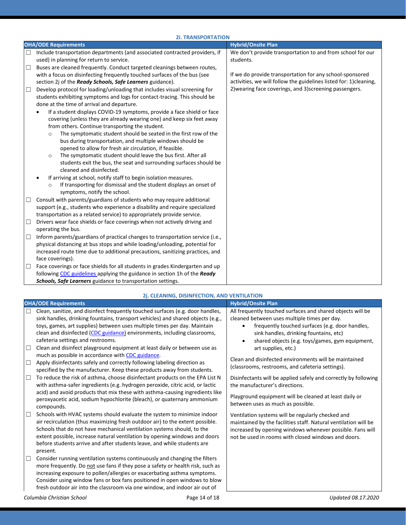|        | <b>2i. TRANSPORTATION</b>                                                                                     |                                                                   |  |  |
|--------|---------------------------------------------------------------------------------------------------------------|-------------------------------------------------------------------|--|--|
|        | <b>OHA/ODE Requirements</b>                                                                                   | <b>Hybrid/Onsite Plan</b>                                         |  |  |
| ⊔      | Include transportation departments (and associated contracted providers, if                                   | We don't provide transportation to and from school for our        |  |  |
|        | used) in planning for return to service.                                                                      | students.                                                         |  |  |
| $\Box$ | Buses are cleaned frequently. Conduct targeted cleanings between routes,                                      |                                                                   |  |  |
|        | with a focus on disinfecting frequently touched surfaces of the bus (see                                      | If we do provide transportation for any school-sponsored          |  |  |
|        | section 2j of the Ready Schools, Safe Learners guidance).                                                     | activities, we will follow the guidelines listed for: 1)cleaning, |  |  |
| $\Box$ | Develop protocol for loading/unloading that includes visual screening for                                     | 2) wearing face coverings, and 3) screening passengers.           |  |  |
|        | students exhibiting symptoms and logs for contact-tracing. This should be                                     |                                                                   |  |  |
|        | done at the time of arrival and departure.                                                                    |                                                                   |  |  |
|        | If a student displays COVID-19 symptoms, provide a face shield or face                                        |                                                                   |  |  |
|        | covering (unless they are already wearing one) and keep six feet away                                         |                                                                   |  |  |
|        | from others. Continue transporting the student.                                                               |                                                                   |  |  |
|        | The symptomatic student should be seated in the first row of the<br>$\circ$                                   |                                                                   |  |  |
|        | bus during transportation, and multiple windows should be                                                     |                                                                   |  |  |
|        | opened to allow for fresh air circulation, if feasible.                                                       |                                                                   |  |  |
|        | The symptomatic student should leave the bus first. After all<br>$\circ$                                      |                                                                   |  |  |
|        | students exit the bus, the seat and surrounding surfaces should be<br>cleaned and disinfected.                |                                                                   |  |  |
|        |                                                                                                               |                                                                   |  |  |
|        | If arriving at school, notify staff to begin isolation measures.                                              |                                                                   |  |  |
|        | If transporting for dismissal and the student displays an onset of<br>$\circ$<br>symptoms, notify the school. |                                                                   |  |  |
| $\Box$ | Consult with parents/guardians of students who may require additional                                         |                                                                   |  |  |
|        | support (e.g., students who experience a disability and require specialized                                   |                                                                   |  |  |
|        | transportation as a related service) to appropriately provide service.                                        |                                                                   |  |  |
| $\Box$ | Drivers wear face shields or face coverings when not actively driving and                                     |                                                                   |  |  |
|        | operating the bus.                                                                                            |                                                                   |  |  |
| $\Box$ | Inform parents/guardians of practical changes to transportation service (i.e.,                                |                                                                   |  |  |
|        | physical distancing at bus stops and while loading/unloading, potential for                                   |                                                                   |  |  |
|        | increased route time due to additional precautions, sanitizing practices, and                                 |                                                                   |  |  |
|        | face coverings).                                                                                              |                                                                   |  |  |
| $\Box$ | Face coverings or face shields for all students in grades Kindergarten and up                                 |                                                                   |  |  |
|        | following CDC guidelines applying the guidance in section 1h of the Ready                                     |                                                                   |  |  |
|        | <b>Schools, Safe Learners</b> guidance to transportation settings.                                            |                                                                   |  |  |

|        | <b>OHA/ODE Requirements</b>                                                                                                                                                                                                                                                                                                                                                                         | <b>Hybrid/Onsite Plan</b>                                                                                                                                                           |
|--------|-----------------------------------------------------------------------------------------------------------------------------------------------------------------------------------------------------------------------------------------------------------------------------------------------------------------------------------------------------------------------------------------------------|-------------------------------------------------------------------------------------------------------------------------------------------------------------------------------------|
| $\Box$ | Clean, sanitize, and disinfect frequently touched surfaces (e.g. door handles,<br>sink handles, drinking fountains, transport vehicles) and shared objects (e.g.,<br>toys, games, art supplies) between uses multiple times per day. Maintain                                                                                                                                                       | All frequently touched surfaces and shared objects will be<br>cleaned between uses multiple times per day.<br>frequently touched surfaces (e.g. door handles,                       |
| $\Box$ | clean and disinfected (CDC guidance) environments, including classrooms,<br>cafeteria settings and restrooms.<br>Clean and disinfect playground equipment at least daily or between use as                                                                                                                                                                                                          | sink handles, drinking fountains, etc)<br>shared objects (e.g. toys/games, gym equipment,<br>$\bullet$<br>art supplies, etc.)                                                       |
| $\Box$ | much as possible in accordance with CDC guidance.<br>Apply disinfectants safely and correctly following labeling direction as<br>specified by the manufacturer. Keep these products away from students.                                                                                                                                                                                             | Clean and disinfected environments will be maintained<br>(classrooms, restrooms, and cafeteria settings).                                                                           |
| $\Box$ | To reduce the risk of asthma, choose disinfectant products on the EPA List N<br>with asthma-safer ingredients (e.g. hydrogen peroxide, citric acid, or lactic<br>acid) and avoid products that mix these with asthma-causing ingredients like                                                                                                                                                       | Disinfectants will be applied safely and correctly by following<br>the manufacturer's directions.<br>Playground equipment will be cleaned at least daily or                         |
| $\Box$ | peroxyacetic acid, sodium hypochlorite (bleach), or quaternary ammonium<br>compounds.<br>Schools with HVAC systems should evaluate the system to minimize indoor                                                                                                                                                                                                                                    | between uses as much as possible.<br>Ventilation systems will be regularly checked and                                                                                              |
|        | air recirculation (thus maximizing fresh outdoor air) to the extent possible.<br>Schools that do not have mechanical ventilation systems should, to the<br>extent possible, increase natural ventilation by opening windows and doors<br>before students arrive and after students leave, and while students are<br>present.                                                                        | maintained by the facilities staff. Natural ventilation will be<br>increased by opening windows whenever possible. Fans will<br>not be used in rooms with closed windows and doors. |
| $\Box$ | Consider running ventilation systems continuously and changing the filters<br>more frequently. Do not use fans if they pose a safety or health risk, such as<br>increasing exposure to pollen/allergies or exacerbating asthma symptoms.<br>Consider using window fans or box fans positioned in open windows to blow<br>fresh outdoor air into the classroom via one window, and indoor air out of |                                                                                                                                                                                     |

**2j. CLEANING, DISINFECTION, AND VENTILATION**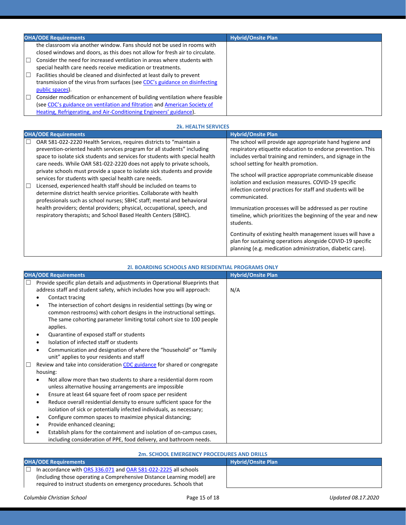| <b>OHA/ODE Requirements</b>                                                                                                                                                                                                    | <b>Hybrid/Onsite Plan</b> |
|--------------------------------------------------------------------------------------------------------------------------------------------------------------------------------------------------------------------------------|---------------------------|
| the classroom via another window. Fans should not be used in rooms with<br>closed windows and doors, as this does not allow for fresh air to circulate.                                                                        |                           |
| Consider the need for increased ventilation in areas where students with<br>special health care needs receive medication or treatments.                                                                                        |                           |
| Facilities should be cleaned and disinfected at least daily to prevent<br>transmission of the virus from surfaces (see CDC's guidance on disinfecting<br>public spaces).                                                       |                           |
| Consider modification or enhancement of building ventilation where feasible<br>(see CDC's guidance on ventilation and filtration and American Society of<br>Heating, Refrigerating, and Air-Conditioning Engineers' guidance). |                           |

| <b>2k. HEALTH SERVICES</b>                                                                                                                                                                                                                                                                                                                                                                                                                                                                                                                                                                                  |                                                                                                                                                                                                                                                                                                                                                                                                                                  |  |
|-------------------------------------------------------------------------------------------------------------------------------------------------------------------------------------------------------------------------------------------------------------------------------------------------------------------------------------------------------------------------------------------------------------------------------------------------------------------------------------------------------------------------------------------------------------------------------------------------------------|----------------------------------------------------------------------------------------------------------------------------------------------------------------------------------------------------------------------------------------------------------------------------------------------------------------------------------------------------------------------------------------------------------------------------------|--|
| <b>OHA/ODE Requirements</b>                                                                                                                                                                                                                                                                                                                                                                                                                                                                                                                                                                                 | <b>Hybrid/Onsite Plan</b>                                                                                                                                                                                                                                                                                                                                                                                                        |  |
| $\Box$<br>OAR 581-022-2220 Health Services, requires districts to "maintain a<br>prevention-oriented health services program for all students" including<br>space to isolate sick students and services for students with special health<br>care needs. While OAR 581-022-2220 does not apply to private schools,<br>private schools must provide a space to isolate sick students and provide<br>services for students with special health care needs.<br>I⊡<br>Licensed, experienced health staff should be included on teams to<br>determine district health service priorities. Collaborate with health | The school will provide age appropriate hand hygiene and<br>respiratory etiquette education to endorse prevention. This<br>includes verbal training and reminders, and signage in the<br>school setting for health promotion.<br>The school will practice appropriate communicable disease<br>isolation and exclusion measures. COVID-19 specific<br>infection control practices for staff and students will be<br>communicated. |  |
| professionals such as school nurses; SBHC staff; mental and behavioral<br>health providers; dental providers; physical, occupational, speech, and<br>respiratory therapists; and School Based Health Centers (SBHC).                                                                                                                                                                                                                                                                                                                                                                                        | Immunization processes will be addressed as per routine<br>timeline, which prioritizes the beginning of the year and new<br>students.<br>Continuity of existing health management issues will have a<br>plan for sustaining operations alongside COVID-19 specific<br>planning (e.g. medication administration, diabetic care).                                                                                                  |  |

| 21. BOARDING SCHOOLS AND RESIDENTIAL PROGRAMS ONLY                                                                                                                                                                                                                                                                                                                                                                                                                                                                                                                                     |                           |  |  |
|----------------------------------------------------------------------------------------------------------------------------------------------------------------------------------------------------------------------------------------------------------------------------------------------------------------------------------------------------------------------------------------------------------------------------------------------------------------------------------------------------------------------------------------------------------------------------------------|---------------------------|--|--|
| <b>OHA/ODE Requirements</b>                                                                                                                                                                                                                                                                                                                                                                                                                                                                                                                                                            | <b>Hybrid/Onsite Plan</b> |  |  |
| Provide specific plan details and adjustments in Operational Blueprints that<br>$\Box$<br>address staff and student safety, which includes how you will approach:<br>Contact tracing<br>The intersection of cohort designs in residential settings (by wing or<br>common restrooms) with cohort designs in the instructional settings.<br>The same cohorting parameter limiting total cohort size to 100 people<br>applies.<br>Quarantine of exposed staff or students<br>Isolation of infected staff or students<br>Communication and designation of where the "household" or "family | N/A                       |  |  |
| unit" applies to your residents and staff<br>Review and take into consideration CDC guidance for shared or congregate<br>housing:                                                                                                                                                                                                                                                                                                                                                                                                                                                      |                           |  |  |
| Not allow more than two students to share a residential dorm room<br>unless alternative housing arrangements are impossible<br>Ensure at least 64 square feet of room space per resident<br>$\bullet$                                                                                                                                                                                                                                                                                                                                                                                  |                           |  |  |
| Reduce overall residential density to ensure sufficient space for the<br>$\bullet$<br>isolation of sick or potentially infected individuals, as necessary;<br>Configure common spaces to maximize physical distancing;<br>٠                                                                                                                                                                                                                                                                                                                                                            |                           |  |  |
| Provide enhanced cleaning;<br>Establish plans for the containment and isolation of on-campus cases,<br>including consideration of PPE, food delivery, and bathroom needs.                                                                                                                                                                                                                                                                                                                                                                                                              |                           |  |  |

### **2m. SCHOOL EMERGENCY PROCEDURES AND DRILLS**

| <b>OHA/ODE Requirements</b>                                             | <b>Hybrid/Onsite Plan</b> |  |  |
|-------------------------------------------------------------------------|---------------------------|--|--|
| In accordance with ORS 336.071 and OAR 581-022-2225 all schools         |                           |  |  |
| (including those operating a Comprehensive Distance Learning model) are |                           |  |  |
| required to instruct students on emergency procedures. Schools that     |                           |  |  |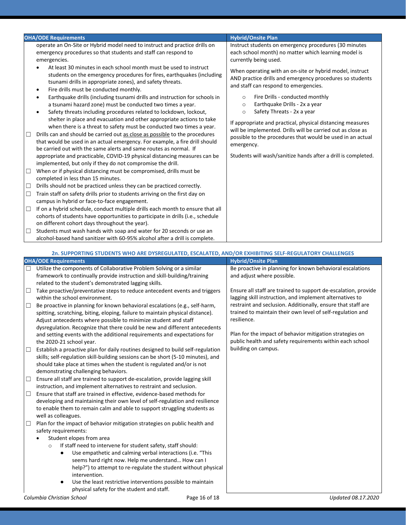|        | <b>OHA/ODE Requirements</b>                                                                                                                                                                                                                                                                             |                               | <b>Hybrid/Onsite Plan</b>                                                                                                                                     |
|--------|---------------------------------------------------------------------------------------------------------------------------------------------------------------------------------------------------------------------------------------------------------------------------------------------------------|-------------------------------|---------------------------------------------------------------------------------------------------------------------------------------------------------------|
|        | operate an On-Site or Hybrid model need to instruct and practice drills on<br>emergency procedures so that students and staff can respond to<br>emergencies.                                                                                                                                            |                               | Instruct students on emergency procedures (30 minutes<br>each school month) no matter which learning model is<br>currently being used.                        |
|        | At least 30 minutes in each school month must be used to instruct<br>students on the emergency procedures for fires, earthquakes (including<br>tsunami drills in appropriate zones), and safety threats.<br>Fire drills must be conducted monthly.<br>٠                                                 |                               | When operating with an on-site or hybrid model, instruct<br>AND practice drills and emergency procedures so students<br>and staff can respond to emergencies. |
|        | Earthquake drills (including tsunami drills and instruction for schools in<br>a tsunami hazard zone) must be conducted two times a year.<br>Safety threats including procedures related to lockdown, lockout,<br>shelter in place and evacuation and other appropriate actions to take                  | $\circ$<br>$\circ$<br>$\circ$ | Fire Drills - conducted monthly<br>Earthquake Drills - 2x a year<br>Safety Threats - 2x a year<br>If appropriate and practical, physical distancing measures  |
|        | when there is a threat to safety must be conducted two times a year.<br>Drills can and should be carried out as close as possible to the procedures<br>that would be used in an actual emergency. For example, a fire drill should<br>be carried out with the same alerts and same routes as normal. If | emergency.                    | will be implemented. Drills will be carried out as close as<br>possible to the procedures that would be used in an actual                                     |
| $\Box$ | appropriate and practicable, COVID-19 physical distancing measures can be<br>implemented, but only if they do not compromise the drill.<br>When or if physical distancing must be compromised, drills must be                                                                                           |                               | Students will wash/sanitize hands after a drill is completed.                                                                                                 |
| $\Box$ | completed in less than 15 minutes.<br>Drills should not be practiced unless they can be practiced correctly.                                                                                                                                                                                            |                               |                                                                                                                                                               |
| $\Box$ | Train staff on safety drills prior to students arriving on the first day on<br>campus in hybrid or face-to-face engagement.                                                                                                                                                                             |                               |                                                                                                                                                               |
| $\Box$ | If on a hybrid schedule, conduct multiple drills each month to ensure that all<br>cohorts of students have opportunities to participate in drills (i.e., schedule<br>on different cohort days throughout the year).                                                                                     |                               |                                                                                                                                                               |
| $\Box$ | Students must wash hands with soap and water for 20 seconds or use an                                                                                                                                                                                                                                   |                               |                                                                                                                                                               |

alcohol-based hand sanitizer with 60-95% alcohol after a drill is complete.

|        | 2n. SUPPORTING STUDENTS WHO ARE DYSREGULATED, ESCALATED, AND/OR EXHIBITING SELF-REGULATORY CHALLENGES                                                                                                                                                                                                                                                                                                                                                                                                                                       |                                                                                                                                                                                            |  |
|--------|---------------------------------------------------------------------------------------------------------------------------------------------------------------------------------------------------------------------------------------------------------------------------------------------------------------------------------------------------------------------------------------------------------------------------------------------------------------------------------------------------------------------------------------------|--------------------------------------------------------------------------------------------------------------------------------------------------------------------------------------------|--|
|        | <b>OHA/ODE Requirements</b>                                                                                                                                                                                                                                                                                                                                                                                                                                                                                                                 | <b>Hybrid/Onsite Plan</b>                                                                                                                                                                  |  |
| $\Box$ | Utilize the components of Collaborative Problem Solving or a similar<br>framework to continually provide instruction and skill-building/training                                                                                                                                                                                                                                                                                                                                                                                            | Be proactive in planning for known behavioral escalations<br>and adjust where possible.                                                                                                    |  |
| $\Box$ | related to the student's demonstrated lagging skills.<br>Take proactive/preventative steps to reduce antecedent events and triggers<br>within the school environment.                                                                                                                                                                                                                                                                                                                                                                       | Ensure all staff are trained to support de-escalation, provide<br>lagging skill instruction, and implement alternatives to<br>restraint and seclusion. Additionally, ensure that staff are |  |
| □      | Be proactive in planning for known behavioral escalations (e.g., self-harm,<br>spitting, scratching, biting, eloping, failure to maintain physical distance).<br>Adjust antecedents where possible to minimize student and staff<br>dysregulation. Recognize that there could be new and different antecedents                                                                                                                                                                                                                              | trained to maintain their own level of self-regulation and<br>resilience.                                                                                                                  |  |
|        | and setting events with the additional requirements and expectations for<br>the 2020-21 school year.                                                                                                                                                                                                                                                                                                                                                                                                                                        | Plan for the impact of behavior mitigation strategies on<br>public health and safety requirements within each school                                                                       |  |
| □      | Establish a proactive plan for daily routines designed to build self-regulation<br>skills; self-regulation skill-building sessions can be short (5-10 minutes), and<br>should take place at times when the student is regulated and/or is not<br>demonstrating challenging behaviors.                                                                                                                                                                                                                                                       | building on campus.                                                                                                                                                                        |  |
| $\Box$ | Ensure all staff are trained to support de-escalation, provide lagging skill<br>instruction, and implement alternatives to restraint and seclusion.                                                                                                                                                                                                                                                                                                                                                                                         |                                                                                                                                                                                            |  |
| □      | Ensure that staff are trained in effective, evidence-based methods for<br>developing and maintaining their own level of self-regulation and resilience<br>to enable them to remain calm and able to support struggling students as<br>well as colleagues.                                                                                                                                                                                                                                                                                   |                                                                                                                                                                                            |  |
| □      | Plan for the impact of behavior mitigation strategies on public health and<br>safety requirements:<br>Student elopes from area<br>If staff need to intervene for student safety, staff should:<br>$\circ$<br>Use empathetic and calming verbal interactions (i.e. "This<br>$\bullet$<br>seems hard right now. Help me understand How can I<br>help?") to attempt to re-regulate the student without physical<br>intervention.<br>Use the least restrictive interventions possible to maintain<br>physical safety for the student and staff. |                                                                                                                                                                                            |  |
|        | Columbia Christian School<br>Page 16 of 18                                                                                                                                                                                                                                                                                                                                                                                                                                                                                                  | Updated 08.17.2020                                                                                                                                                                         |  |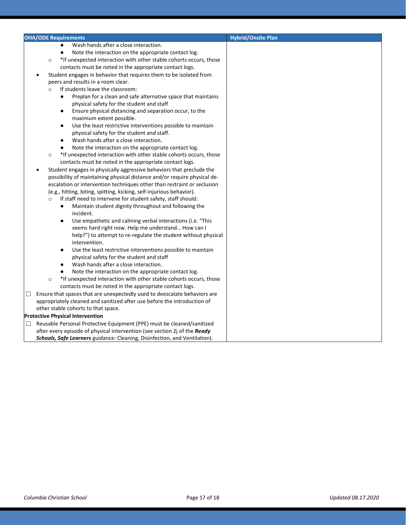| <b>OHA/ODE Requirements</b>                                                     | <b>Hybrid/Onsite Plan</b> |
|---------------------------------------------------------------------------------|---------------------------|
| Wash hands after a close interaction.<br>$\bullet$                              |                           |
| Note the interaction on the appropriate contact log.<br>$\bullet$               |                           |
| *If unexpected interaction with other stable cohorts occurs, those<br>$\circ$   |                           |
| contacts must be noted in the appropriate contact logs.                         |                           |
| Student engages in behavior that requires them to be isolated from<br>$\bullet$ |                           |
| peers and results in a room clear.                                              |                           |
| If students leave the classroom:<br>$\circ$                                     |                           |
| Preplan for a clean and safe alternative space that maintains                   |                           |
| physical safety for the student and staff                                       |                           |
| Ensure physical distancing and separation occur, to the<br>$\bullet$            |                           |
| maximum extent possible.                                                        |                           |
| Use the least restrictive interventions possible to maintain<br>٠               |                           |
| physical safety for the student and staff.                                      |                           |
| Wash hands after a close interaction.<br>$\bullet$                              |                           |
| Note the interaction on the appropriate contact log.<br>$\bullet$               |                           |
| *If unexpected interaction with other stable cohorts occurs, those<br>$\circ$   |                           |
| contacts must be noted in the appropriate contact logs.                         |                           |
| Student engages in physically aggressive behaviors that preclude the            |                           |
| possibility of maintaining physical distance and/or require physical de-        |                           |
| escalation or intervention techniques other than restraint or seclusion         |                           |
| (e.g., hitting, biting, spitting, kicking, self-injurious behavior).            |                           |
| If staff need to intervene for student safety, staff should:<br>$\circ$         |                           |
| Maintain student dignity throughout and following the<br>$\bullet$              |                           |
| incident.                                                                       |                           |
| Use empathetic and calming verbal interactions (i.e. "This<br>$\bullet$         |                           |
| seems hard right now. Help me understand How can I                              |                           |
| help?") to attempt to re-regulate the student without physical                  |                           |
| intervention.                                                                   |                           |
| Use the least restrictive interventions possible to maintain<br>$\bullet$       |                           |
| physical safety for the student and staff                                       |                           |
| Wash hands after a close interaction.                                           |                           |
| Note the interaction on the appropriate contact log.                            |                           |
| *If unexpected interaction with other stable cohorts occurs, those<br>$\circ$   |                           |
| contacts must be noted in the appropriate contact logs.                         |                           |
| Ensure that spaces that are unexpectedly used to deescalate behaviors are<br>□  |                           |
| appropriately cleaned and sanitized after use before the introduction of        |                           |
| other stable cohorts to that space.                                             |                           |
| <b>Protective Physical Intervention</b>                                         |                           |
| Reusable Personal Protective Equipment (PPE) must be cleaned/sanitized<br>□     |                           |
| after every episode of physical intervention (see section 2j of the Ready       |                           |
| Schools, Safe Learners guidance: Cleaning, Disinfection, and Ventilation).      |                           |